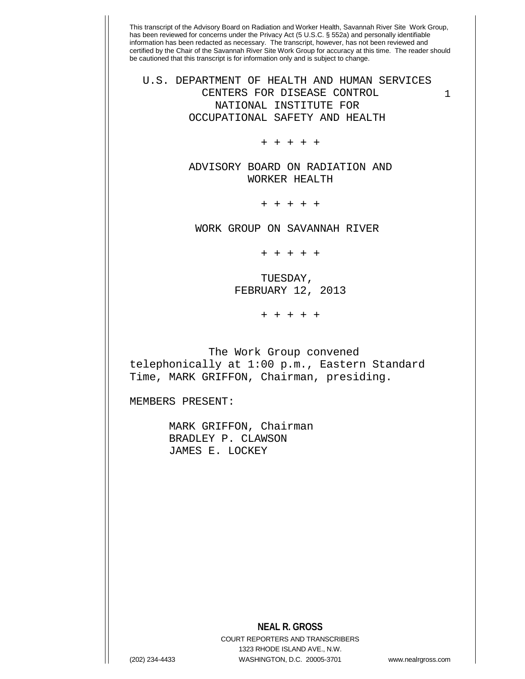This transcript of the Advisory Board on Radiation and Worker Health, Savannah River Site Work Group, has been reviewed for concerns under the Privacy Act (5 U.S.C. § 552a) and personally identifiable information has been redacted as necessary. The transcript, however, has not been reviewed and certified by the Chair of the Savannah River Site Work Group for accuracy at this time. The reader should be cautioned that this transcript is for information only and is subject to change. 1 U.S. DEPARTMENT OF HEALTH AND HUMAN SERVICES CENTERS FOR DISEASE CONTROL NATIONAL INSTITUTE FOR OCCUPATIONAL SAFETY AND HEALTH + + + + + ADVISORY BOARD ON RADIATION AND WORKER HEALTH + + + + + WORK GROUP ON SAVANNAH RIVER + + + + + TUESDAY, FEBRUARY 12, 2013 + + + + + The Work Group convened telephonically at 1:00 p.m., Eastern Standard Time, MARK GRIFFON, Chairman, presiding. MEMBERS PRESENT: MARK GRIFFON, Chairman BRADLEY P. CLAWSON JAMES E. LOCKEY

## **NEAL R. GROSS**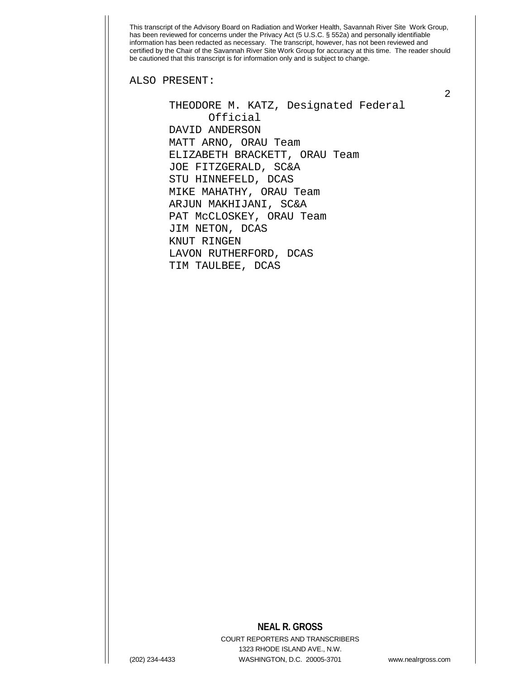ALSO PRESENT:

 THEODORE M. KATZ, Designated Federal Official DAVID ANDERSON MATT ARNO, ORAU Team ELIZABETH BRACKETT, ORAU Team JOE FITZGERALD, SC&A STU HINNEFELD, DCAS MIKE MAHATHY, ORAU Team ARJUN MAKHIJANI, SC&A PAT McCLOSKEY, ORAU Team JIM NETON, DCAS KNUT RINGEN LAVON RUTHERFORD, DCAS TIM TAULBEE, DCAS

## **NEAL R. GROSS**

COURT REPORTERS AND TRANSCRIBERS 1323 RHODE ISLAND AVE., N.W. (202) 234-4433 WASHINGTON, D.C. 20005-3701 www.nealrgross.com

2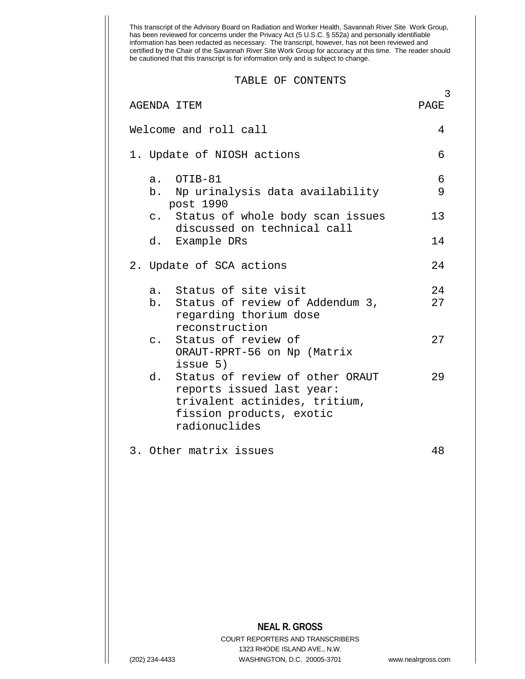|                    | certified by the Chair of the Savannah River Site Work Group for accuracy at this time. The reader should<br>be cautioned that this transcript is for information only and is subject to change. |                    |
|--------------------|--------------------------------------------------------------------------------------------------------------------------------------------------------------------------------------------------|--------------------|
|                    | TABLE OF CONTENTS                                                                                                                                                                                |                    |
| <b>AGENDA ITEM</b> |                                                                                                                                                                                                  | PAGE               |
|                    | Welcome and roll call                                                                                                                                                                            | 4                  |
|                    | 1. Update of NIOSH actions                                                                                                                                                                       | 6                  |
|                    | a. OTIB-81                                                                                                                                                                                       | 6                  |
|                    | b. Np urinalysis data availability<br>post 1990                                                                                                                                                  | 9                  |
| $\mathsf{C}$ .     | Status of whole body scan issues<br>discussed on technical call                                                                                                                                  | 13                 |
|                    | d. Example DRs                                                                                                                                                                                   | 14                 |
|                    | 2. Update of SCA actions                                                                                                                                                                         | 24                 |
| a.                 | Status of site visit                                                                                                                                                                             | 24                 |
| b.                 | Status of review of Addendum 3,<br>regarding thorium dose                                                                                                                                        | 27                 |
| $\mathsf{C}$ .     | reconstruction<br>Status of review of                                                                                                                                                            | 27                 |
|                    | ORAUT-RPRT-56 on Np (Matrix<br>issue 5)                                                                                                                                                          |                    |
| d.                 | Status of review of other ORAUT<br>reports issued last year:                                                                                                                                     | 29                 |
|                    | trivalent actinides, tritium,                                                                                                                                                                    |                    |
|                    | fission products, exotic<br>radionuclides                                                                                                                                                        |                    |
|                    | 3. Other matrix issues                                                                                                                                                                           | 48                 |
|                    |                                                                                                                                                                                                  |                    |
|                    |                                                                                                                                                                                                  |                    |
|                    |                                                                                                                                                                                                  |                    |
|                    |                                                                                                                                                                                                  |                    |
|                    |                                                                                                                                                                                                  |                    |
|                    |                                                                                                                                                                                                  |                    |
|                    |                                                                                                                                                                                                  |                    |
|                    | <b>NEAL R. GROSS</b><br><b>COURT REPORTERS AND TRANSCRIBERS</b>                                                                                                                                  |                    |
|                    | 1323 RHODE ISLAND AVE., N.W.                                                                                                                                                                     |                    |
| (202) 234-4433     | WASHINGTON, D.C. 20005-3701                                                                                                                                                                      | www.nealrgross.com |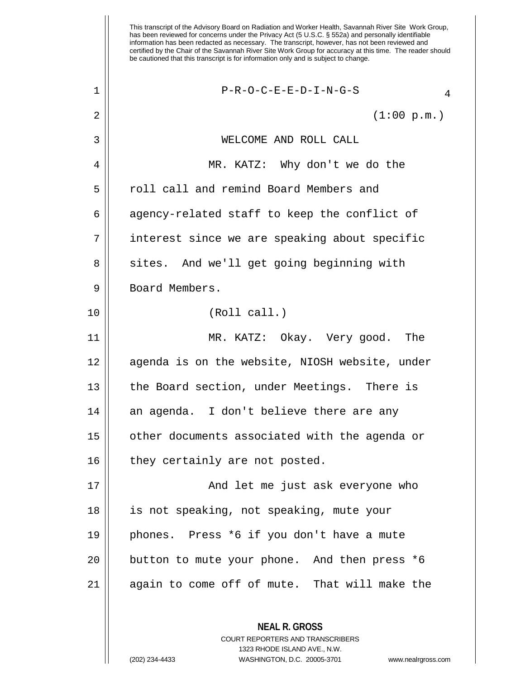This transcript of the Advisory Board on Radiation and Worker Health, Savannah River Site Work Group, has been reviewed for concerns under the Privacy Act (5 U.S.C. § 552a) and personally identifiable information has been redacted as necessary. The transcript, however, has not been reviewed and certified by the Chair of the Savannah River Site Work Group for accuracy at this time. The reader should be cautioned that this transcript is for information only and is subject to change. **NEAL R. GROSS** COURT REPORTERS AND TRANSCRIBERS 1323 RHODE ISLAND AVE., N.W.  $\begin{array}{c|c|c|c|c|c} 1 & & & \text{P-R-O-C-E-E-D-I-N-G-S} & & & \text{A} \end{array}$  $2 \parallel$  (1:00 p.m.) 3 WELCOME AND ROLL CALL 4 MR. KATZ: Why don't we do the 5 || roll call and remind Board Members and  $6 \parallel$  agency-related staff to keep the conflict of 7 interest since we are speaking about specific 8 || sites. And we'll get going beginning with 9 Board Members. 10 (Roll call.) 11 MR. KATZ: Okay. Very good. The 12 || agenda is on the website, NIOSH website, under 13 || the Board section, under Meetings. There is  $14$  an agenda. I don't believe there are any 15 || other documents associated with the agenda or  $16$  || they certainly are not posted. 17 And let me just ask everyone who 18 is not speaking, not speaking, mute your 19 phones. Press \*6 if you don't have a mute 20 || button to mute your phone. And then press \*6 21 || again to come off of mute. That will make the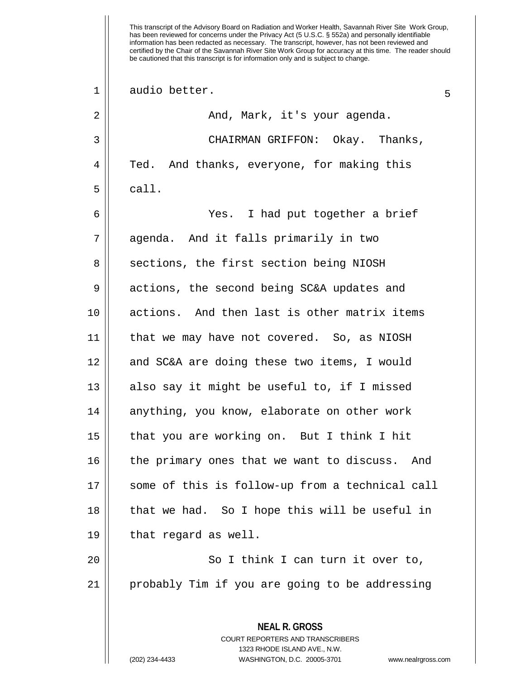This transcript of the Advisory Board on Radiation and Worker Health, Savannah River Site Work Group, has been reviewed for concerns under the Privacy Act (5 U.S.C. § 552a) and personally identifiable information has been redacted as necessary. The transcript, however, has not been reviewed and certified by the Chair of the Savannah River Site Work Group for accuracy at this time. The reader should be cautioned that this transcript is for information only and is subject to change. **NEAL R. GROSS** COURT REPORTERS AND TRANSCRIBERS 1323 RHODE ISLAND AVE., N.W. 1 || audio better. 2 And, Mark, it's your agenda. 3 CHAIRMAN GRIFFON: Okay. Thanks, 4 Ted. And thanks, everyone, for making this  $5 \parallel$  call. 6 Yes. I had put together a brief 7 agenda. And it falls primarily in two 8 | sections, the first section being NIOSH 9 | actions, the second being SC&A updates and 10 actions. And then last is other matrix items 11 that we may have not covered. So, as NIOSH 12 || and SC&A are doing these two items, I would  $13$  also say it might be useful to, if I missed 14 || anything, you know, elaborate on other work 15 that you are working on. But I think I hit 16 || the primary ones that we want to discuss. And 17 some of this is follow-up from a technical call 18 || that we had. So I hope this will be useful in  $19 \parallel$  that regard as well. 20 || So I think I can turn it over to, 21 probably Tim if you are going to be addressing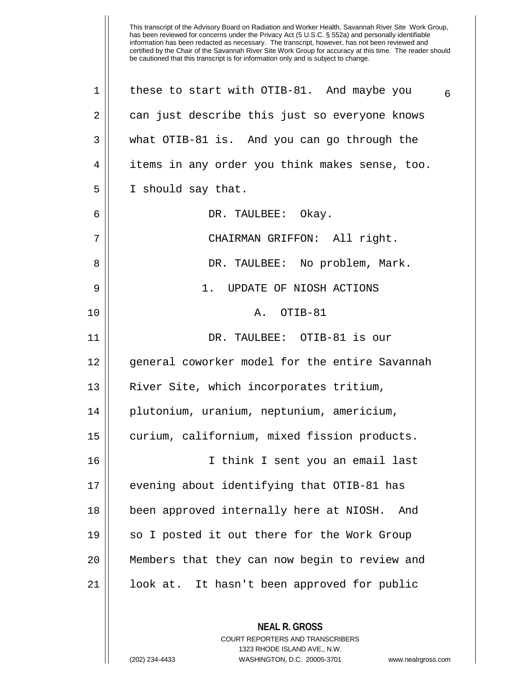**NEAL R. GROSS** 1 || these to start with OTIB-81. And maybe you  $6\frac{1}{6}$ 2 || can just describe this just so everyone knows 3 what OTIB-81 is. And you can go through the 4 | items in any order you think makes sense, too. 5 | I should say that. 6 DR. TAULBEE: Okay. 7 CHAIRMAN GRIFFON: All right. 8 DR. TAULBEE: No problem, Mark. 9 1. UPDATE OF NIOSH ACTIONS 10 A. OTIB-81 11 DR. TAULBEE: OTIB-81 is our 12 || general coworker model for the entire Savannah 13 || River Site, which incorporates tritium, 14 plutonium, uranium, neptunium, americium, 15 | curium, californium, mixed fission products. 16 I think I sent you an email last 17 || evening about identifying that OTIB-81 has 18 been approved internally here at NIOSH. And 19 || so I posted it out there for the Work Group 20 Members that they can now begin to review and 21 look at. It hasn't been approved for public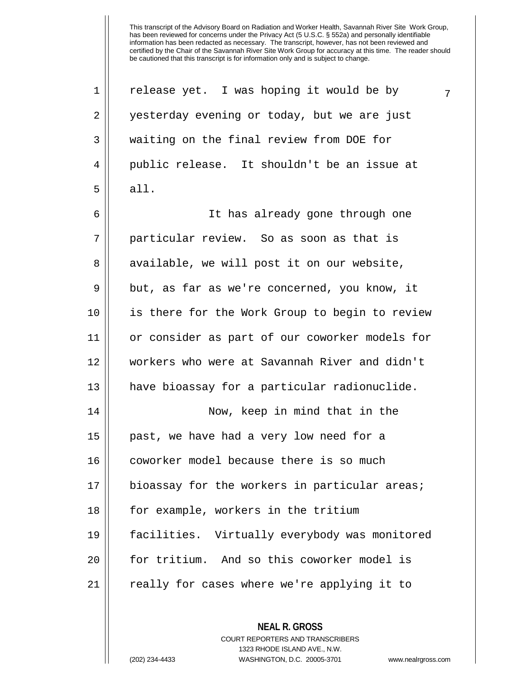1 | release yet. I was hoping it would be by  $\frac{7}{7}$ 2 || yesterday evening or today, but we are just 3 || waiting on the final review from DOE for 4 public release. It shouldn't be an issue at  $5 \parallel$  all. 6 It has already gone through one 7 particular review. So as soon as that is 8 || available, we will post it on our website,  $9 \parallel$  but, as far as we're concerned, you know, it 10 is there for the Work Group to begin to review 11 or consider as part of our coworker models for 12 workers who were at Savannah River and didn't 13 || have bioassay for a particular radionuclide. 14 Now, keep in mind that in the 15 past, we have had a very low need for a 16 || coworker model because there is so much 17 || bioassay for the workers in particular areas; 18 || for example, workers in the tritium 19 facilities. Virtually everybody was monitored 20 for tritium. And so this coworker model is 21 || really for cases where we're applying it to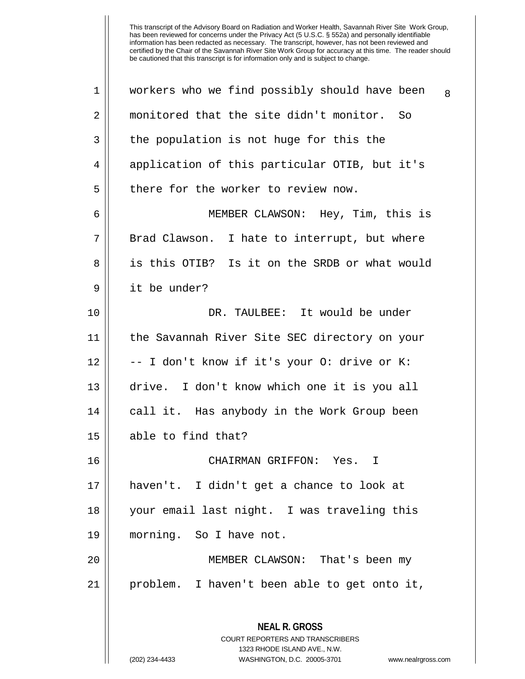| monitored that the site didn't monitor. So<br>2<br>3<br>the population is not huge for this the<br>application of this particular OTIB, but it's<br>4<br>5<br>there for the worker to review now.<br>MEMBER CLAWSON: Hey, Tim, this is<br>6<br>7<br>Brad Clawson. I hate to interrupt, but where<br>8<br>is this OTIB? Is it on the SRDB or what would<br>9<br>it be under?<br>10<br>DR. TAULBEE: It would be under<br>the Savannah River Site SEC directory on your<br>11<br>12<br>-- I don't know if it's your O: drive or K:<br>13<br>drive. I don't know which one it is you all<br>14<br>call it. Has anybody in the Work Group been |                    |
|-------------------------------------------------------------------------------------------------------------------------------------------------------------------------------------------------------------------------------------------------------------------------------------------------------------------------------------------------------------------------------------------------------------------------------------------------------------------------------------------------------------------------------------------------------------------------------------------------------------------------------------------|--------------------|
|                                                                                                                                                                                                                                                                                                                                                                                                                                                                                                                                                                                                                                           |                    |
|                                                                                                                                                                                                                                                                                                                                                                                                                                                                                                                                                                                                                                           |                    |
|                                                                                                                                                                                                                                                                                                                                                                                                                                                                                                                                                                                                                                           |                    |
|                                                                                                                                                                                                                                                                                                                                                                                                                                                                                                                                                                                                                                           |                    |
|                                                                                                                                                                                                                                                                                                                                                                                                                                                                                                                                                                                                                                           |                    |
|                                                                                                                                                                                                                                                                                                                                                                                                                                                                                                                                                                                                                                           |                    |
|                                                                                                                                                                                                                                                                                                                                                                                                                                                                                                                                                                                                                                           |                    |
|                                                                                                                                                                                                                                                                                                                                                                                                                                                                                                                                                                                                                                           |                    |
|                                                                                                                                                                                                                                                                                                                                                                                                                                                                                                                                                                                                                                           |                    |
|                                                                                                                                                                                                                                                                                                                                                                                                                                                                                                                                                                                                                                           |                    |
|                                                                                                                                                                                                                                                                                                                                                                                                                                                                                                                                                                                                                                           |                    |
|                                                                                                                                                                                                                                                                                                                                                                                                                                                                                                                                                                                                                                           |                    |
|                                                                                                                                                                                                                                                                                                                                                                                                                                                                                                                                                                                                                                           |                    |
| 15<br>able to find that?                                                                                                                                                                                                                                                                                                                                                                                                                                                                                                                                                                                                                  |                    |
| 16<br>CHAIRMAN GRIFFON:                                                                                                                                                                                                                                                                                                                                                                                                                                                                                                                                                                                                                   | Yes.<br>I.         |
| 17<br>haven't. I didn't get a chance to look at                                                                                                                                                                                                                                                                                                                                                                                                                                                                                                                                                                                           |                    |
| your email last night. I was traveling this<br>18                                                                                                                                                                                                                                                                                                                                                                                                                                                                                                                                                                                         |                    |
| morning. So I have not.<br>19                                                                                                                                                                                                                                                                                                                                                                                                                                                                                                                                                                                                             |                    |
| 20<br>MEMBER CLAWSON: That's been my                                                                                                                                                                                                                                                                                                                                                                                                                                                                                                                                                                                                      |                    |
| 21<br>problem. I haven't been able to get onto it,                                                                                                                                                                                                                                                                                                                                                                                                                                                                                                                                                                                        |                    |
| <b>NEAL R. GROSS</b><br><b>COURT REPORTERS AND TRANSCRIBERS</b>                                                                                                                                                                                                                                                                                                                                                                                                                                                                                                                                                                           |                    |
| 1323 RHODE ISLAND AVE., N.W.<br>(202) 234-4433<br>WASHINGTON, D.C. 20005-3701                                                                                                                                                                                                                                                                                                                                                                                                                                                                                                                                                             | www.nealrgross.com |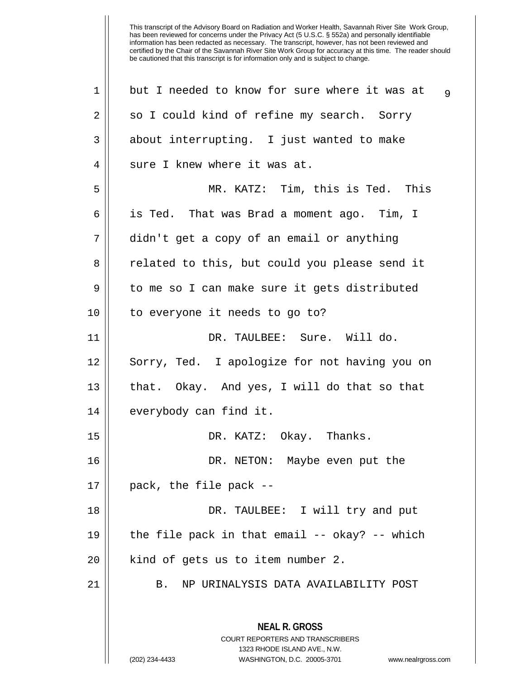| $\mathbf 1$ | but I needed to know for sure where it was at<br>$\overline{9}$                                                                                                        |
|-------------|------------------------------------------------------------------------------------------------------------------------------------------------------------------------|
| 2           | so I could kind of refine my search. Sorry                                                                                                                             |
| 3           | about interrupting. I just wanted to make                                                                                                                              |
| 4           | sure I knew where it was at.                                                                                                                                           |
| 5           | MR. KATZ: Tim, this is Ted. This                                                                                                                                       |
| 6           | is Ted. That was Brad a moment ago. Tim, I                                                                                                                             |
| 7           | didn't get a copy of an email or anything                                                                                                                              |
| 8           | related to this, but could you please send it                                                                                                                          |
| 9           | to me so I can make sure it gets distributed                                                                                                                           |
| 10          | to everyone it needs to go to?                                                                                                                                         |
| 11          | DR. TAULBEE: Sure. Will do.                                                                                                                                            |
| 12          | Sorry, Ted. I apologize for not having you on                                                                                                                          |
| 13          | that. Okay. And yes, I will do that so that                                                                                                                            |
| 14          | everybody can find it.                                                                                                                                                 |
| 15          | DR. KATZ: Okay. Thanks.                                                                                                                                                |
| 16          | DR. NETON: Maybe even put the                                                                                                                                          |
| 17          | pack, the file pack --                                                                                                                                                 |
| 18          | DR. TAULBEE: I will try and put                                                                                                                                        |
| 19          | the file pack in that email -- okay? -- which                                                                                                                          |
| 20          | kind of gets us to item number 2.                                                                                                                                      |
| 21          | NP URINALYSIS DATA AVAILABILITY POST<br>B.                                                                                                                             |
|             | <b>NEAL R. GROSS</b><br><b>COURT REPORTERS AND TRANSCRIBERS</b><br>1323 RHODE ISLAND AVE., N.W.<br>(202) 234-4433<br>WASHINGTON, D.C. 20005-3701<br>www.nealrgross.com |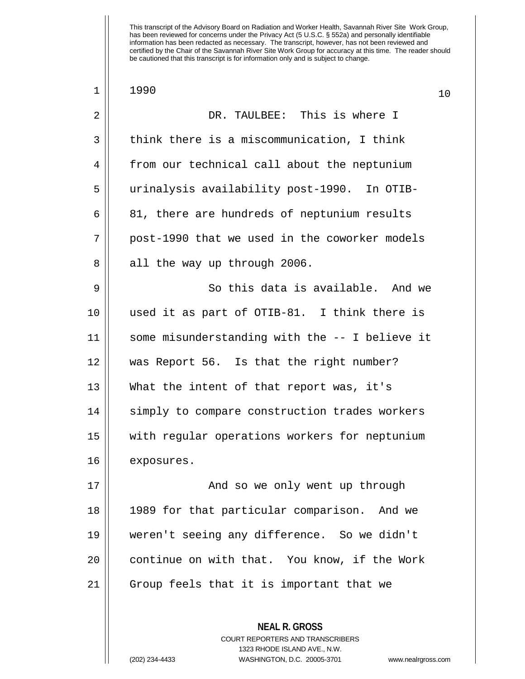| $\mathbf 1$ | 1990<br>10                                     |  |
|-------------|------------------------------------------------|--|
| 2           | DR. TAULBEE: This is where I                   |  |
| 3           | think there is a miscommunication, I think     |  |
| 4           | from our technical call about the neptunium    |  |
| 5           | urinalysis availability post-1990. In OTIB-    |  |
| 6           | 81, there are hundreds of neptunium results    |  |
| 7           | post-1990 that we used in the coworker models  |  |
| 8           | all the way up through 2006.                   |  |
| 9           | So this data is available. And we              |  |
| 10          | used it as part of OTIB-81. I think there is   |  |
| 11          | some misunderstanding with the -- I believe it |  |
| 12          | was Report 56. Is that the right number?       |  |
| 13          | What the intent of that report was, it's       |  |
| 14          | simply to compare construction trades workers  |  |
| 15          | with regular operations workers for neptunium  |  |
| 16          | exposures.                                     |  |
| 17          | And so we only went up through                 |  |
| 18          | 1989 for that particular comparison. And we    |  |
| 19          | weren't seeing any difference. So we didn't    |  |
| 20          | continue on with that. You know, if the Work   |  |
| 21          | Group feels that it is important that we       |  |
|             |                                                |  |
|             | <b>NEAL R. GROSS</b>                           |  |

COURT REPORTERS AND TRANSCRIBERS 1323 RHODE ISLAND AVE., N.W.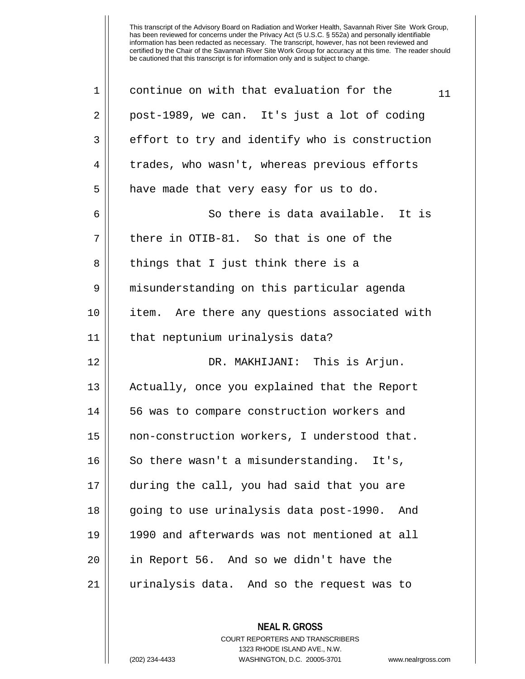| $\mathbf 1$ | continue on with that evaluation for the<br>11 |
|-------------|------------------------------------------------|
| 2           | post-1989, we can. It's just a lot of coding   |
| 3           | effort to try and identify who is construction |
| 4           | trades, who wasn't, whereas previous efforts   |
| 5           | have made that very easy for us to do.         |
| 6           | So there is data available. It is              |
| 7           | there in OTIB-81. So that is one of the        |
| 8           | things that I just think there is a            |
| 9           | misunderstanding on this particular agenda     |
| 10          | item. Are there any questions associated with  |
| 11          | that neptunium urinalysis data?                |
| 12          | DR. MAKHIJANI: This is Arjun.                  |
| 13          | Actually, once you explained that the Report   |
| 14          | 56 was to compare construction workers and     |
| 15          | non-construction workers, I understood that.   |
| 16          | So there wasn't a misunderstanding. It's,      |
| 17          | during the call, you had said that you are     |
| 18          | going to use urinalysis data post-1990.<br>And |
| 19          | 1990 and afterwards was not mentioned at all   |
| 20          | in Report 56. And so we didn't have the        |
| 21          | urinalysis data. And so the request was to     |
|             |                                                |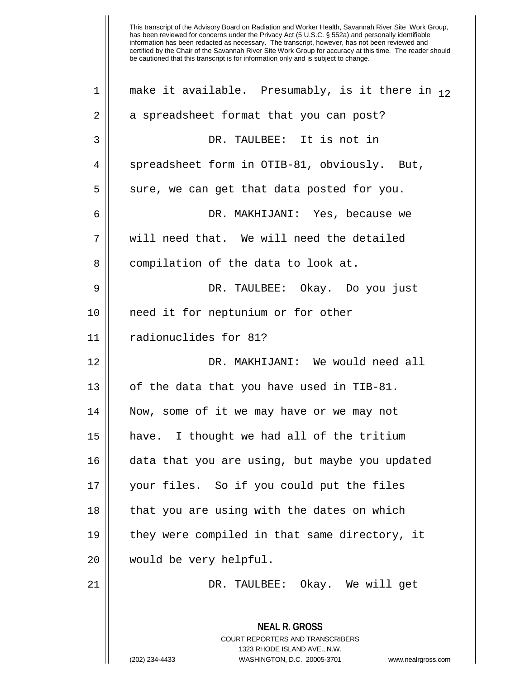**NEAL R. GROSS** COURT REPORTERS AND TRANSCRIBERS 1323 RHODE ISLAND AVE., N.W. 1 || make it available. Presumably, is it there in  $12$ 2 || a spreadsheet format that you can post? 3 DR. TAULBEE: It is not in 4 | spreadsheet form in OTIB-81, obviously. But,  $5 \parallel$  sure, we can get that data posted for you. 6 DR. MAKHIJANI: Yes, because we 7 || will need that. We will need the detailed 8 compilation of the data to look at. 9 DR. TAULBEE: Okay. Do you just 10 need it for neptunium or for other 11 radionuclides for 81? 12 DR. MAKHIJANI: We would need all 13  $\vert$  of the data that you have used in TIB-81. 14 Now, some of it we may have or we may not 15 have. I thought we had all of the tritium 16 data that you are using, but maybe you updated 17 your files. So if you could put the files  $18$  || that you are using with the dates on which 19 they were compiled in that same directory, it 20 would be very helpful. 21 DR. TAULBEE: Okay. We will get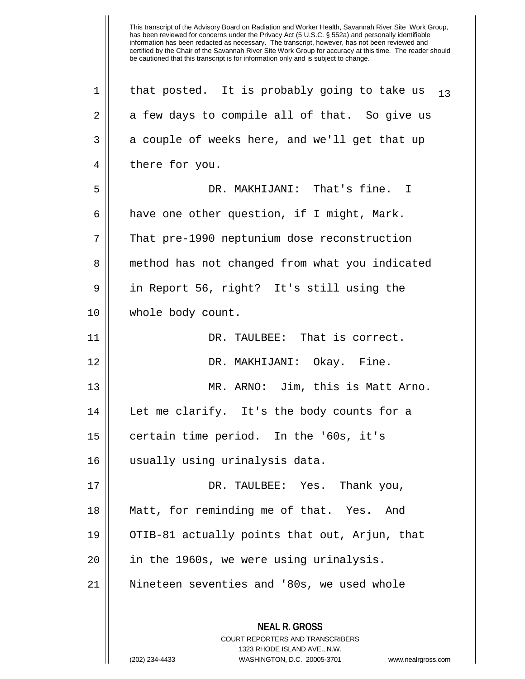**NEAL R. GROSS** COURT REPORTERS AND TRANSCRIBERS 1323 RHODE ISLAND AVE., N.W. (202) 234-4433 WASHINGTON, D.C. 20005-3701 www.nealrgross.com 1 || that posted. It is probably going to take us  $_{13}$  $2 \parallel$  a few days to compile all of that. So give us  $3 \parallel$  a couple of weeks here, and we'll get that up 4 | there for you. 5 DR. MAKHIJANI: That's fine. I  $6 \parallel$  have one other question, if I might, Mark. 7 | That pre-1990 neptunium dose reconstruction 8 || method has not changed from what you indicated 9 || in Report 56, right? It's still using the 10 || whole body count. 11 DR. TAULBEE: That is correct. 12 DR. MAKHIJANI: Okay. Fine. 13 MR. ARNO: Jim, this is Matt Arno. 14 || Let me clarify. It's the body counts for a 15 certain time period. In the '60s, it's 16 usually using urinalysis data. 17 DR. TAULBEE: Yes. Thank you, 18 Matt, for reminding me of that. Yes. And 19 || OTIB-81 actually points that out, Arjun, that 20 || in the 1960s, we were using urinalysis. 21 Nineteen seventies and '80s, we used whole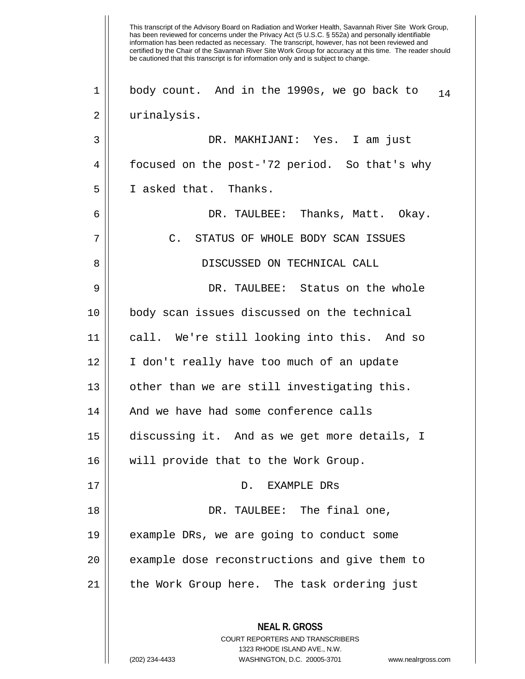This transcript of the Advisory Board on Radiation and Worker Health, Savannah River Site Work Group, has been reviewed for concerns under the Privacy Act (5 U.S.C. § 552a) and personally identifiable information has been redacted as necessary. The transcript, however, has not been reviewed and certified by the Chair of the Savannah River Site Work Group for accuracy at this time. The reader should be cautioned that this transcript is for information only and is subject to change. **NEAL R. GROSS** COURT REPORTERS AND TRANSCRIBERS 1323 RHODE ISLAND AVE., N.W. (202) 234-4433 WASHINGTON, D.C. 20005-3701 www.nealrgross.com 1 || body count. And in the 1990s, we go back to  $_{14}$ 2 urinalysis. 3 DR. MAKHIJANI: Yes. I am just 4 | focused on the post-'72 period. So that's why 5 I asked that. Thanks. 6 DR. TAULBEE: Thanks, Matt. Okay. 7 || C. STATUS OF WHOLE BODY SCAN ISSUES 8 DISCUSSED ON TECHNICAL CALL 9 DR. TAULBEE: Status on the whole 10 body scan issues discussed on the technical 11 call. We're still looking into this. And so 12 I don't really have too much of an update 13 || other than we are still investigating this. 14 And we have had some conference calls 15 discussing it. And as we get more details, I 16 || will provide that to the Work Group. 17 || D. EXAMPLE DRS 18 DR. TAULBEE: The final one, 19 example DRs, we are going to conduct some 20 || example dose reconstructions and give them to 21 || the Work Group here. The task ordering just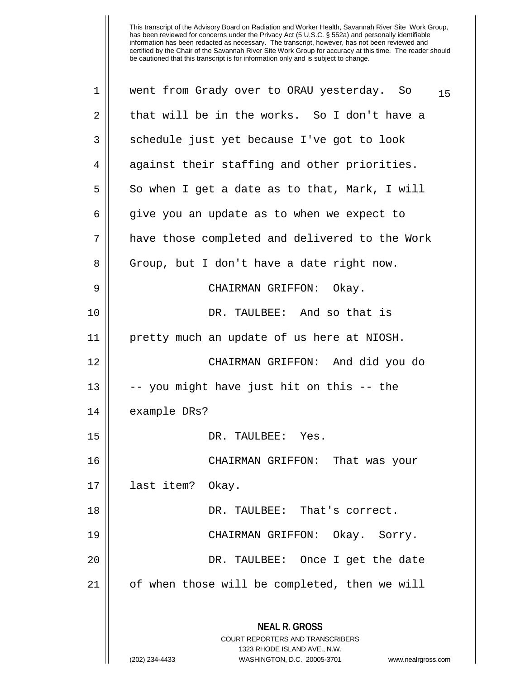| 1              | went from Grady over to ORAU yesterday. So<br>15                                                                                                                       |
|----------------|------------------------------------------------------------------------------------------------------------------------------------------------------------------------|
| $\overline{2}$ | that will be in the works. So I don't have a                                                                                                                           |
| 3              | schedule just yet because I've got to look                                                                                                                             |
| 4              | against their staffing and other priorities.                                                                                                                           |
| 5              | So when I get a date as to that, Mark, I will                                                                                                                          |
| 6              | give you an update as to when we expect to                                                                                                                             |
| 7              | have those completed and delivered to the Work                                                                                                                         |
| 8              | Group, but I don't have a date right now.                                                                                                                              |
| 9              | CHAIRMAN GRIFFON: Okay.                                                                                                                                                |
| 10             | DR. TAULBEE: And so that is                                                                                                                                            |
| 11             | pretty much an update of us here at NIOSH.                                                                                                                             |
| 12             | CHAIRMAN GRIFFON: And did you do                                                                                                                                       |
| 13             | -- you might have just hit on this -- the                                                                                                                              |
| 14             | example DRs?                                                                                                                                                           |
| 15             | DR. TAULBEE: Yes.                                                                                                                                                      |
| 16             | CHAIRMAN GRIFFON:<br>That was your                                                                                                                                     |
| 17             | last item?<br>Okay.                                                                                                                                                    |
| 18             | DR. TAULBEE: That's correct.                                                                                                                                           |
| 19             | CHAIRMAN GRIFFON: Okay. Sorry.                                                                                                                                         |
| 20             | DR. TAULBEE: Once I get the date                                                                                                                                       |
| 21             | of when those will be completed, then we will                                                                                                                          |
|                | <b>NEAL R. GROSS</b><br><b>COURT REPORTERS AND TRANSCRIBERS</b><br>1323 RHODE ISLAND AVE., N.W.<br>(202) 234-4433<br>WASHINGTON, D.C. 20005-3701<br>www.nealrgross.com |
|                |                                                                                                                                                                        |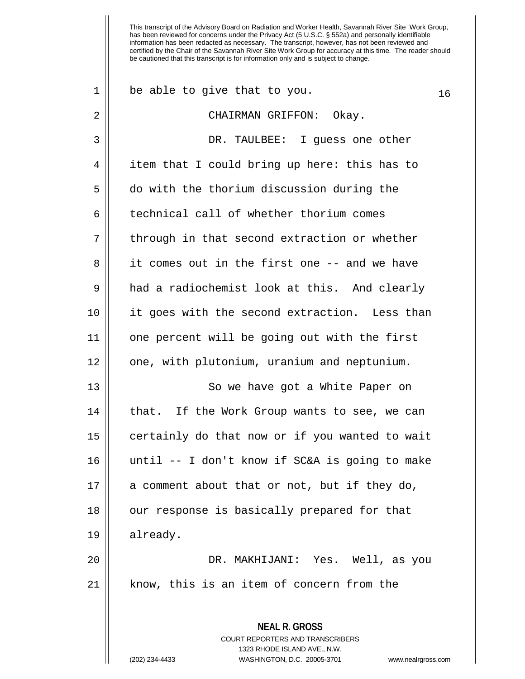| 1  | be able to give that to you.<br>16                                  |
|----|---------------------------------------------------------------------|
| 2  | CHAIRMAN GRIFFON: Okay.                                             |
| 3  | DR. TAULBEE: I guess one other                                      |
| 4  | item that I could bring up here: this has to                        |
| 5  | do with the thorium discussion during the                           |
| 6  | technical call of whether thorium comes                             |
| 7  | through in that second extraction or whether                        |
| 8  | it comes out in the first one -- and we have                        |
| 9  | had a radiochemist look at this. And clearly                        |
| 10 | it goes with the second extraction. Less than                       |
| 11 | one percent will be going out with the first                        |
| 12 | one, with plutonium, uranium and neptunium.                         |
| 13 | So we have got a White Paper on                                     |
| 14 | that. If the Work Group wants to see, we can                        |
| 15 | certainly do that now or if you wanted to wait                      |
| 16 | until -- I don't know if SC&A is going to make                      |
| 17 | a comment about that or not, but if they do,                        |
| 18 | our response is basically prepared for that                         |
| 19 | already.                                                            |
| 20 | DR. MAKHIJANI: Yes. Well, as you                                    |
| 21 | know, this is an item of concern from the                           |
|    |                                                                     |
|    | <b>NEAL R. GROSS</b><br><b>COURT REPORTERS AND TRANSCRIBERS</b>     |
|    | 1323 RHODE ISLAND AVE., N.W.                                        |
|    | WASHINGTON, D.C. 20005-3701<br>(202) 234-4433<br>www.nealrgross.com |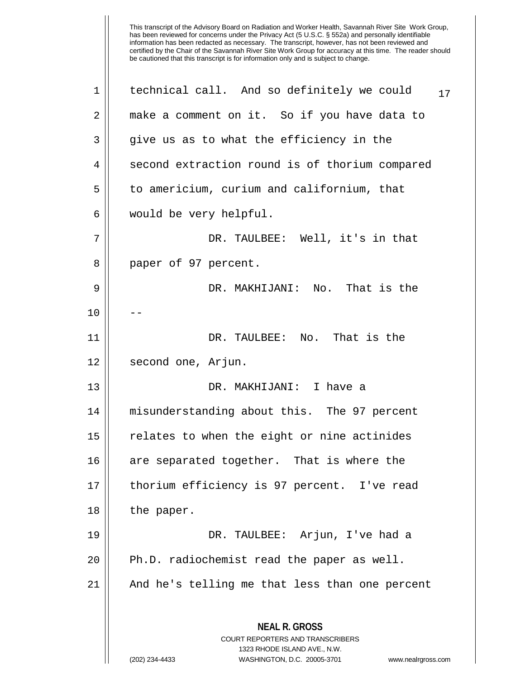| 1  | technical call. And so definitely we could<br>17                                                |
|----|-------------------------------------------------------------------------------------------------|
| 2  | make a comment on it. So if you have data to                                                    |
| 3  | give us as to what the efficiency in the                                                        |
| 4  | second extraction round is of thorium compared                                                  |
| 5  | to americium, curium and californium, that                                                      |
| 6  | would be very helpful.                                                                          |
| 7  | DR. TAULBEE: Well, it's in that                                                                 |
| 8  | paper of 97 percent.                                                                            |
| 9  | DR. MAKHIJANI: No. That is the                                                                  |
| 10 |                                                                                                 |
| 11 | DR. TAULBEE: No. That is the                                                                    |
| 12 | second one, Arjun.                                                                              |
| 13 | DR. MAKHIJANI: I have a                                                                         |
| 14 | misunderstanding about this. The 97 percent                                                     |
| 15 | relates to when the eight or nine actinides                                                     |
| 16 | are separated together. That is where the                                                       |
| 17 | thorium efficiency is 97 percent. I've read                                                     |
| 18 | the paper.                                                                                      |
| 19 | DR. TAULBEE: Arjun, I've had a                                                                  |
| 20 | Ph.D. radiochemist read the paper as well.                                                      |
| 21 | And he's telling me that less than one percent                                                  |
|    | <b>NEAL R. GROSS</b><br><b>COURT REPORTERS AND TRANSCRIBERS</b><br>1323 RHODE ISLAND AVE., N.W. |
|    | (202) 234-4433<br>WASHINGTON, D.C. 20005-3701<br>www.nealrgross.com                             |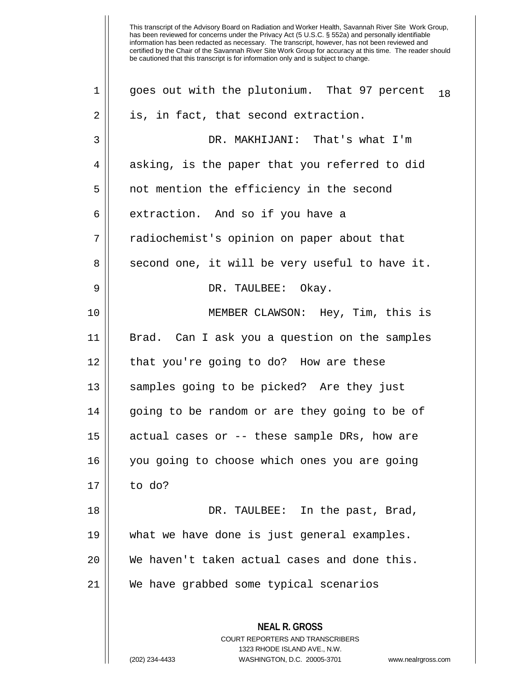**NEAL R. GROSS** COURT REPORTERS AND TRANSCRIBERS 1323 RHODE ISLAND AVE., N.W. 1 || goes out with the plutonium. That 97 percent  $_{18}$  $2 \parallel$  is, in fact, that second extraction. 3 DR. MAKHIJANI: That's what I'm  $4 \parallel$  asking, is the paper that you referred to did 5 || not mention the efficiency in the second  $6 \parallel$  extraction. And so if you have a 7 || radiochemist's opinion on paper about that  $8 \parallel$  second one, it will be very useful to have it. 9 DR. TAULBEE: Okay. 10 MEMBER CLAWSON: Hey, Tim, this is 11 Brad. Can I ask you a question on the samples 12 || that you're going to do? How are these 13 || samples going to be picked? Are they just 14 || qoing to be random or are they going to be of  $15$  || actual cases or  $-$ - these sample DRs, how are 16 you going to choose which ones you are going 17 to do? 18 DR. TAULBEE: In the past, Brad, 19 what we have done is just general examples. 20 We haven't taken actual cases and done this. 21 We have grabbed some typical scenarios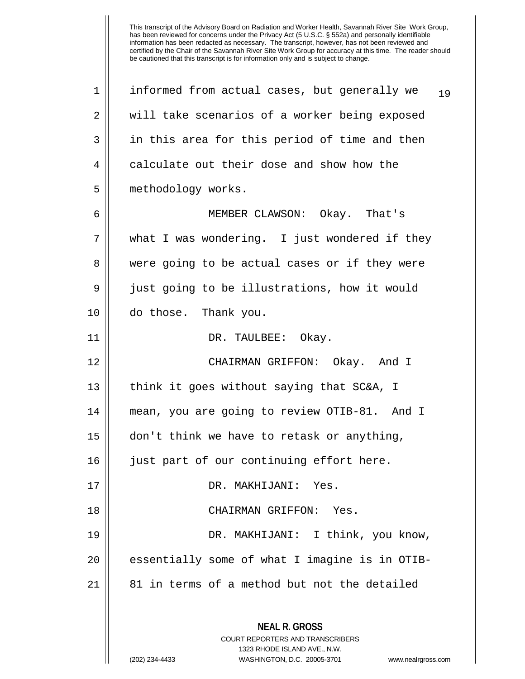**NEAL R. GROSS** COURT REPORTERS AND TRANSCRIBERS 1323 RHODE ISLAND AVE., N.W. 1 | informed from actual cases, but generally we  $_{19}$ 2 || will take scenarios of a worker being exposed 3 || in this area for this period of time and then 4 calculate out their dose and show how the 5 | methodology works. 6 MEMBER CLAWSON: Okay. That's 7 || what I was wondering. I just wondered if they 8 were going to be actual cases or if they were 9 | just going to be illustrations, how it would 10 do those. Thank you. 11 DR. TAULBEE: Okay. 12 CHAIRMAN GRIFFON: Okay. And I 13 || think it goes without saying that SC&A, I 14 mean, you are going to review OTIB-81. And I 15 don't think we have to retask or anything, 16 || just part of our continuing effort here. 17 DR. MAKHIJANI: Yes. 18 CHAIRMAN GRIFFON: Yes. 19 DR. MAKHIJANI: I think, you know, 20 || essentially some of what I imagine is in OTIB- $21$  || 81 in terms of a method but not the detailed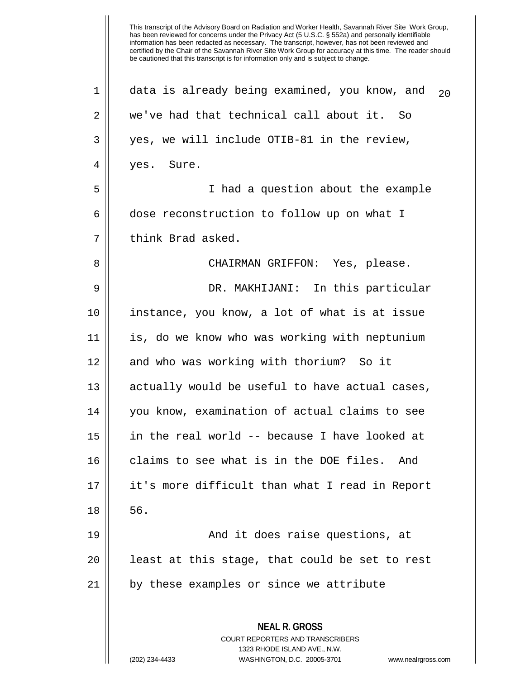**NEAL R. GROSS** COURT REPORTERS AND TRANSCRIBERS 1323 RHODE ISLAND AVE., N.W. 1 || data is already being examined, you know, and  $_{20}$ 2 we've had that technical call about it. So 3 || yes, we will include OTIB-81 in the review, 4 || yes. Sure. 5 I had a question about the example 6 dose reconstruction to follow up on what I 7 || think Brad asked. 8 CHAIRMAN GRIFFON: Yes, please. 9 DR. MAKHIJANI: In this particular 10 instance, you know, a lot of what is at issue 11 is, do we know who was working with neptunium 12 || and who was working with thorium? So it 13 || actually would be useful to have actual cases, 14 you know, examination of actual claims to see 15 in the real world -- because I have looked at 16 claims to see what is in the DOE files. And 17 it's more difficult than what I read in Report  $18 \parallel 56.$ 19 || And it does raise questions, at 20 || least at this stage, that could be set to rest 21 || by these examples or since we attribute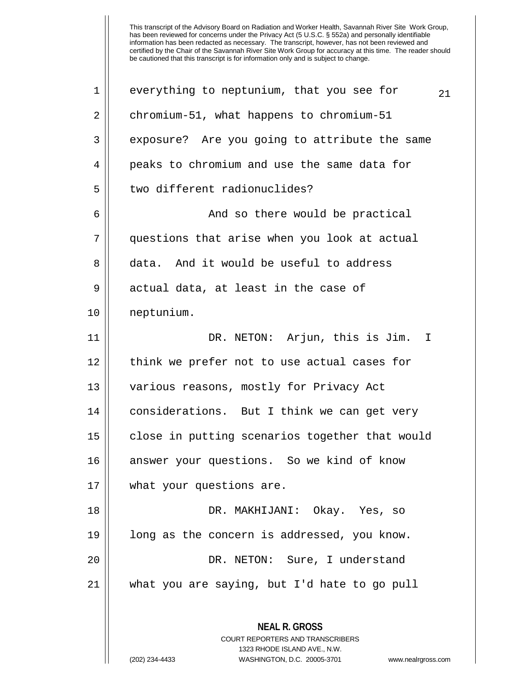**NEAL R. GROSS** COURT REPORTERS AND TRANSCRIBERS 1323 RHODE ISLAND AVE., N.W. 1 || everything to neptunium, that you see for  $_{21}$ 2 chromium-51, what happens to chromium-51 3 exposure? Are you going to attribute the same 4 || peaks to chromium and use the same data for 5 d two different radionuclides? 6 || And so there would be practical 7 questions that arise when you look at actual 8 data. And it would be useful to address  $9$  | actual data, at least in the case of 10 neptunium. 11 DR. NETON: Arjun, this is Jim. I 12 || think we prefer not to use actual cases for 13 || various reasons, mostly for Privacy Act 14 | considerations. But I think we can get very 15 || close in putting scenarios together that would 16 || answer your questions. So we kind of know 17 what your questions are. 18 DR. MAKHIJANI: Okay. Yes, so 19 long as the concern is addressed, you know. 20 DR. NETON: Sure, I understand 21 what you are saying, but I'd hate to go pull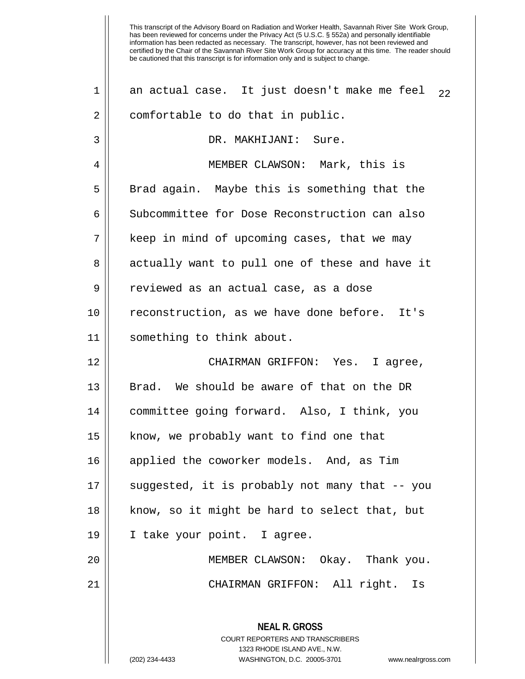| $\mathbf 1$    | an actual case. It just doesn't make me feel<br>22                                              |
|----------------|-------------------------------------------------------------------------------------------------|
| $\overline{2}$ | comfortable to do that in public.                                                               |
| 3              | DR. MAKHIJANI: Sure.                                                                            |
| 4              | MEMBER CLAWSON: Mark, this is                                                                   |
| 5              | Brad again. Maybe this is something that the                                                    |
| 6              | Subcommittee for Dose Reconstruction can also                                                   |
| 7              | keep in mind of upcoming cases, that we may                                                     |
| 8              | actually want to pull one of these and have it                                                  |
| 9              | reviewed as an actual case, as a dose                                                           |
| 10             | reconstruction, as we have done before. It's                                                    |
| 11             | something to think about.                                                                       |
| 12             | CHAIRMAN GRIFFON: Yes. I agree,                                                                 |
| 13             | Brad. We should be aware of that on the DR                                                      |
| 14             | committee going forward. Also, I think, you                                                     |
| 15             | know, we probably want to find one that                                                         |
| 16             | applied the coworker models. And, as Tim                                                        |
| 17             | suggested, it is probably not many that -- you                                                  |
| 18             | know, so it might be hard to select that, but                                                   |
| 19             | I take your point. I agree.                                                                     |
| 20             | MEMBER CLAWSON: Okay. Thank you.                                                                |
| 21             | CHAIRMAN GRIFFON: All right. Is                                                                 |
|                | <b>NEAL R. GROSS</b><br><b>COURT REPORTERS AND TRANSCRIBERS</b><br>1323 RHODE ISLAND AVE., N.W. |
|                | WASHINGTON, D.C. 20005-3701<br>(202) 234-4433<br>www.nealrgross.com                             |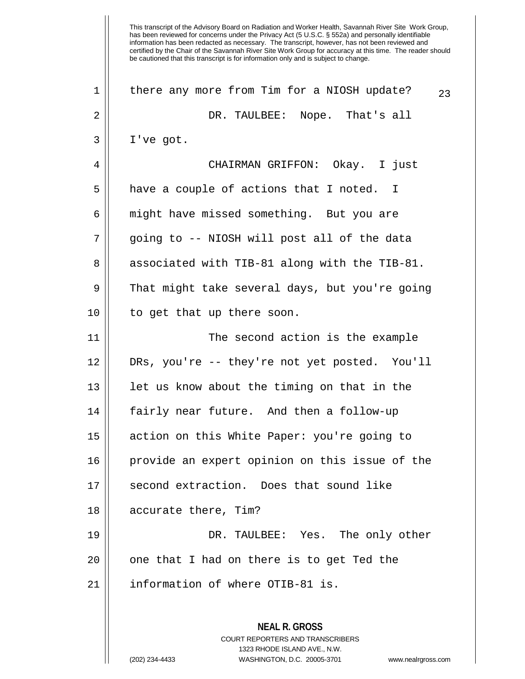This transcript of the Advisory Board on Radiation and Worker Health, Savannah River Site Work Group, has been reviewed for concerns under the Privacy Act (5 U.S.C. § 552a) and personally identifiable information has been redacted as necessary. The transcript, however, has not been reviewed and certified by the Chair of the Savannah River Site Work Group for accuracy at this time. The reader should be cautioned that this transcript is for information only and is subject to change. **NEAL R. GROSS** COURT REPORTERS AND TRANSCRIBERS 1323 RHODE ISLAND AVE., N.W. 1 || there any more from Tim for a NIOSH update?  $23$ 2 DR. TAULBEE: Nope. That's all  $3 \parallel$  I've got. 4 CHAIRMAN GRIFFON: Okay. I just  $5 \parallel$  have a couple of actions that I noted. I 6 || might have missed something. But you are 7 || going to -- NIOSH will post all of the data 8 || associated with TIB-81 along with the TIB-81.  $9 \parallel$  That might take several days, but you're going 10 to get that up there soon. 11 The second action is the example 12 DRs, you're -- they're not yet posted. You'll 13 || let us know about the timing on that in the 14 fairly near future. And then a follow-up 15 action on this White Paper: you're going to 16 provide an expert opinion on this issue of the 17 || second extraction. Does that sound like 18 accurate there, Tim? 19 DR. TAULBEE: Yes. The only other  $20$  | one that I had on there is to get Ted the 21 | information of where OTIB-81 is.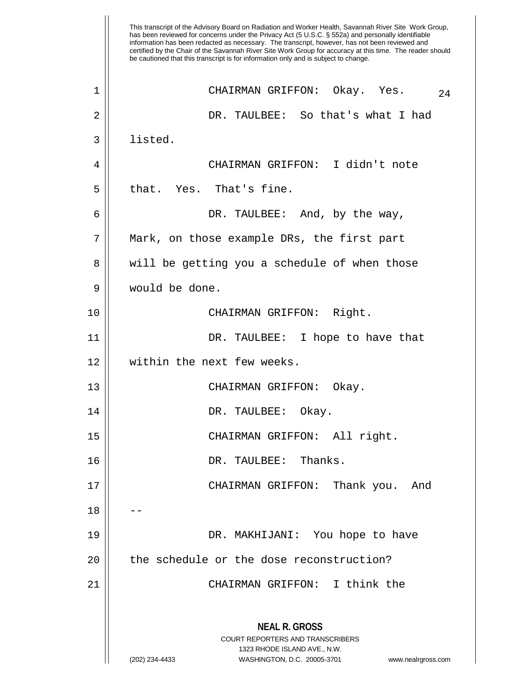This transcript of the Advisory Board on Radiation and Worker Health, Savannah River Site Work Group, has been reviewed for concerns under the Privacy Act (5 U.S.C. § 552a) and personally identifiable information has been redacted as necessary. The transcript, however, has not been reviewed and certified by the Chair of the Savannah River Site Work Group for accuracy at this time. The reader should be cautioned that this transcript is for information only and is subject to change. **NEAL R. GROSS** COURT REPORTERS AND TRANSCRIBERS 1323 RHODE ISLAND AVE., N.W. (202) 234-4433 WASHINGTON, D.C. 20005-3701 www.nealrgross.com  $1 \parallel$  CHAIRMAN GRIFFON: Okay. Yes.  $_{24}$ 2 DR. TAULBEE: So that's what I had 3 ll listed. 4 CHAIRMAN GRIFFON: I didn't note 5 ll that. Yes. That's fine. 6 DR. TAULBEE: And, by the way, 7 Mark, on those example DRs, the first part 8 || will be getting you a schedule of when those 9 would be done. 10 || CHAIRMAN GRIFFON: Right. 11 DR. TAULBEE: I hope to have that 12 || within the next few weeks. 13 CHAIRMAN GRIFFON: Okay. 14 DR. TAULBEE: Okay. 15 CHAIRMAN GRIFFON: All right. 16 DR. TAULBEE: Thanks. 17 CHAIRMAN GRIFFON: Thank you. And 18 19 DR. MAKHIJANI: You hope to have 20 | the schedule or the dose reconstruction? 21 CHAIRMAN GRIFFON: I think the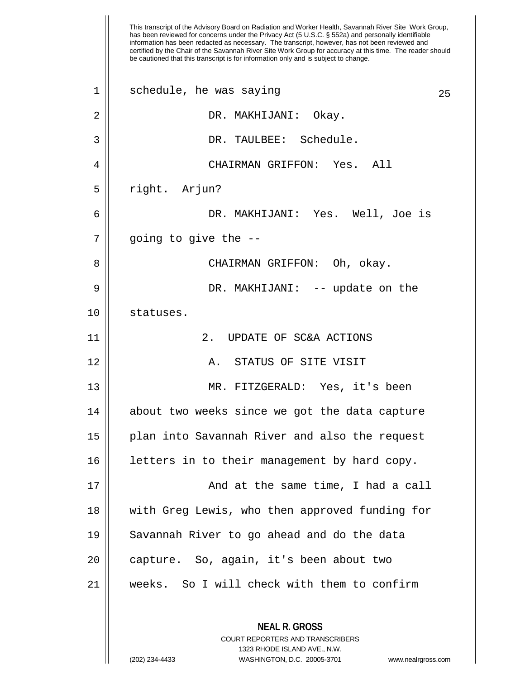This transcript of the Advisory Board on Radiation and Worker Health, Savannah River Site Work Group, has been reviewed for concerns under the Privacy Act (5 U.S.C. § 552a) and personally identifiable information has been redacted as necessary. The transcript, however, has not been reviewed and certified by the Chair of the Savannah River Site Work Group for accuracy at this time. The reader should be cautioned that this transcript is for information only and is subject to change. **NEAL R. GROSS** COURT REPORTERS AND TRANSCRIBERS 1323 RHODE ISLAND AVE., N.W. (202) 234-4433 WASHINGTON, D.C. 20005-3701 www.nealrgross.com  $1 \parallel$  schedule, he was saying 25 2 DR. MAKHIJANI: Okay. 3 DR. TAULBEE: Schedule. 4 CHAIRMAN GRIFFON: Yes. All 5 || right. Arjun? 6 DR. MAKHIJANI: Yes. Well, Joe is  $7 \parallel$  going to give the  $-$ 8 CHAIRMAN GRIFFON: Oh, okay. 9 DR. MAKHIJANI: -- update on the 10 statuses. 11 2. UPDATE OF SC&A ACTIONS 12 A. STATUS OF SITE VISIT 13 MR. FITZGERALD: Yes, it's been 14 || about two weeks since we got the data capture 15 plan into Savannah River and also the request 16 | letters in to their management by hard copy. 17 And at the same time, I had a call 18 with Greg Lewis, who then approved funding for 19 || Savannah River to go ahead and do the data 20 | capture. So, again, it's been about two 21 weeks. So I will check with them to confirm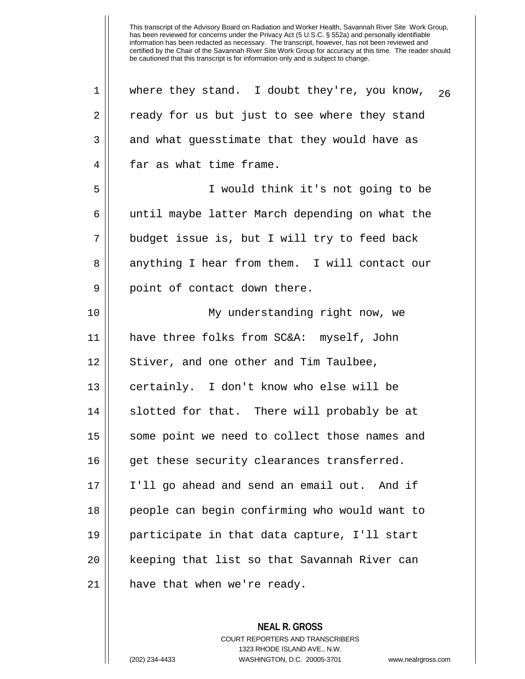1 || where they stand. I doubt they're, you know,  $_{26}$ 2 || ready for us but just to see where they stand  $3 \parallel$  and what guesstimate that they would have as 4 | far as what time frame. 5 I would think it's not going to be 6 || until maybe latter March depending on what the 7 budget issue is, but I will try to feed back 8 anything I hear from them. I will contact our 9 || point of contact down there. 10 My understanding right now, we 11 have three folks from SC&A: myself, John  $12$  | Stiver, and one other and Tim Taulbee, 13 certainly. I don't know who else will be 14 || slotted for that. There will probably be at 15 || some point we need to collect those names and 16 || get these security clearances transferred. 17 I'll go ahead and send an email out. And if 18 || people can begin confirming who would want to 19 participate in that data capture, I'll start 20 keeping that list so that Savannah River can  $21$  || have that when we're ready.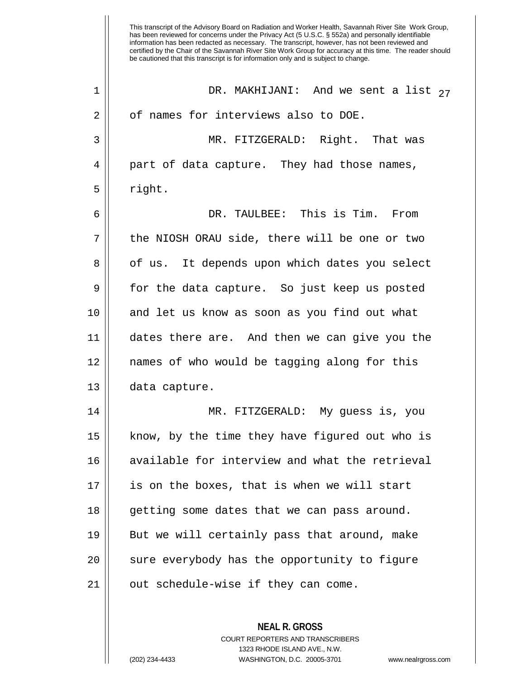| $\mathbf 1$    | DR. MAKHIJANI: And we sent a list $27$         |
|----------------|------------------------------------------------|
| 2              | of names for interviews also to DOE.           |
| 3              | MR. FITZGERALD: Right. That was                |
| $\overline{4}$ | part of data capture. They had those names,    |
| 5              | right.                                         |
| 6              | DR. TAULBEE: This is Tim. From                 |
| 7              | the NIOSH ORAU side, there will be one or two  |
| 8              | of us. It depends upon which dates you select  |
| 9              | for the data capture. So just keep us posted   |
| 10             | and let us know as soon as you find out what   |
| 11             | dates there are. And then we can give you the  |
| 12             | names of who would be tagging along for this   |
| 13             | data capture.                                  |
| 14             | MR. FITZGERALD: My guess is, you               |
| 15             | know, by the time they have figured out who is |
| 16             | available for interview and what the retrieval |
| 17             | is on the boxes, that is when we will start    |
| 18             | getting some dates that we can pass around.    |
| 19             | But we will certainly pass that around, make   |
| 20             | sure everybody has the opportunity to figure   |
| 21             | out schedule-wise if they can come.            |
|                |                                                |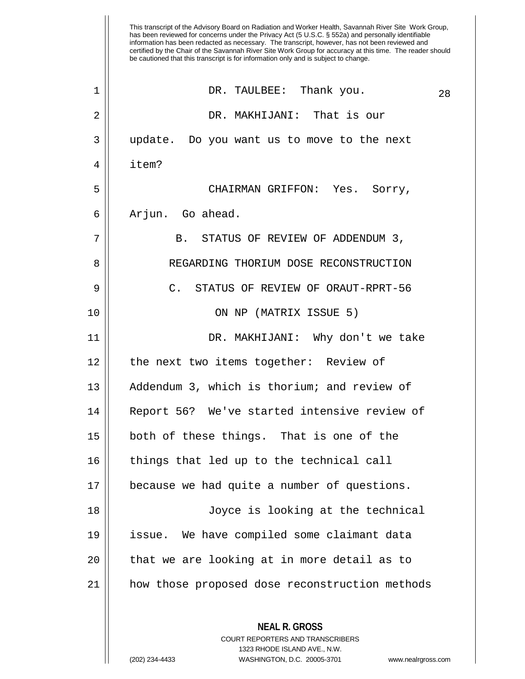has been reviewed for concerns under the Privacy Act (5 U.S.C. § 552a) and personally identifiable information has been redacted as necessary. The transcript, however, has not been reviewed and certified by the Chair of the Savannah River Site Work Group for accuracy at this time. The reader should be cautioned that this transcript is for information only and is subject to change. **NEAL R. GROSS** COURT REPORTERS AND TRANSCRIBERS  $\begin{array}{ccc} 1 & \vert & \vert & \end{array}$  DR. TAULBEE: Thank you.  $\begin{array}{ccc} 28 & \vert & \vert & \vert & \end{array}$ 2 DR. MAKHIJANI: That is our 3 || update. Do you want us to move to the next 4 item? 5 CHAIRMAN GRIFFON: Yes. Sorry, 6 || Arjun. Go ahead. 7 || B. STATUS OF REVIEW OF ADDENDUM 3, 8 || REGARDING THORIUM DOSE RECONSTRUCTION 9 || C. STATUS OF REVIEW OF ORAUT-RPRT-56 10 ON NP (MATRIX ISSUE 5) 11 DR. MAKHIJANI: Why don't we take 12 || the next two items together: Review of 13 || Addendum 3, which is thorium; and review of 14 Report 56? We've started intensive review of 15 both of these things. That is one of the 16 || things that led up to the technical call 17 because we had quite a number of questions. 18 Joyce is looking at the technical 19 issue. We have compiled some claimant data  $20$  || that we are looking at in more detail as to 21 how those proposed dose reconstruction methods

1323 RHODE ISLAND AVE., N.W.

This transcript of the Advisory Board on Radiation and Worker Health, Savannah River Site Work Group,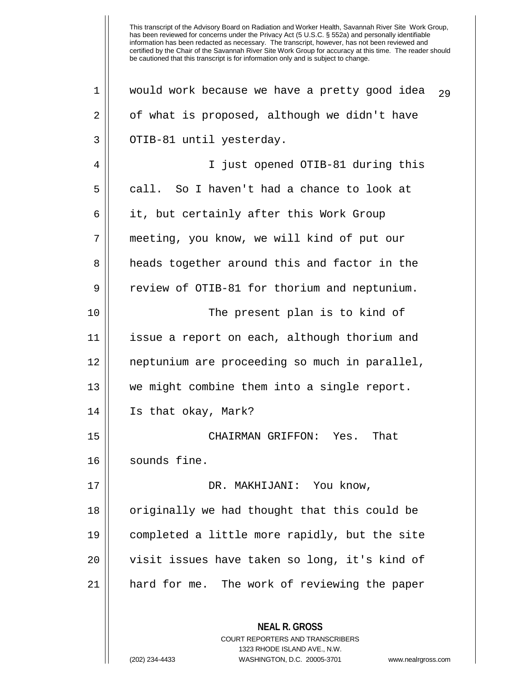**NEAL R. GROSS** COURT REPORTERS AND TRANSCRIBERS  $1$  would work because we have a pretty good idea  $29$ 2 | of what is proposed, although we didn't have 3 || OTIB-81 until yesterday. 4 || I just opened OTIB-81 during this  $5 \parallel$  call. So I haven't had a chance to look at 6 || it, but certainly after this Work Group 7 meeting, you know, we will kind of put our 8 || heads together around this and factor in the 9 | review of OTIB-81 for thorium and neptunium. 10 || The present plan is to kind of 11 issue a report on each, although thorium and 12 neptunium are proceeding so much in parallel, 13 we might combine them into a single report. 14 Is that okay, Mark? 15 CHAIRMAN GRIFFON: Yes. That 16 | sounds fine. 17 DR. MAKHIJANI: You know, 18 || originally we had thought that this could be 19 completed a little more rapidly, but the site 20 || visit issues have taken so long, it's kind of 21 || hard for me. The work of reviewing the paper

1323 RHODE ISLAND AVE., N.W.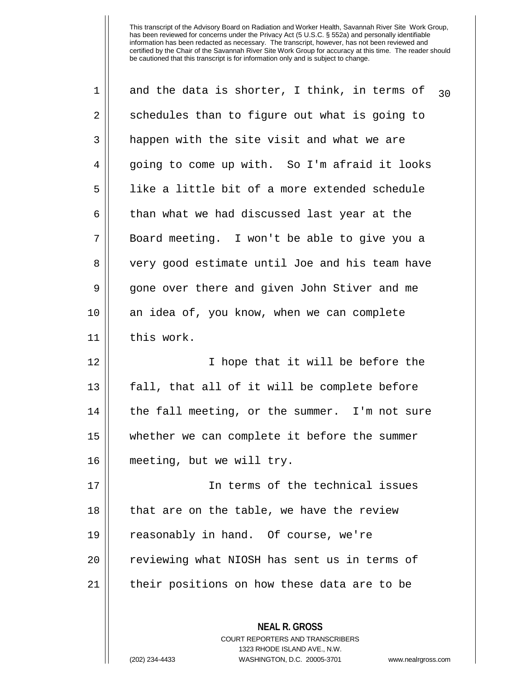| 1  | and the data is shorter, I think, in terms of<br>30 |
|----|-----------------------------------------------------|
| 2  | schedules than to figure out what is going to       |
| 3  | happen with the site visit and what we are          |
| 4  | going to come up with. So I'm afraid it looks       |
| 5  | like a little bit of a more extended schedule       |
| 6  | than what we had discussed last year at the         |
| 7  | Board meeting. I won't be able to give you a        |
| 8  | very good estimate until Joe and his team have      |
| 9  | gone over there and given John Stiver and me        |
| 10 | an idea of, you know, when we can complete          |
| 11 | this work.                                          |
| 12 | I hope that it will be before the                   |
| 13 | fall, that all of it will be complete before        |
| 14 | the fall meeting, or the summer. I'm not sure       |
| 15 | whether we can complete it before the summer        |
| 16 | meeting, but we will try.                           |
| 17 | In terms of the technical issues                    |
| 18 | that are on the table, we have the review           |
| 19 | reasonably in hand. Of course, we're                |
| 20 | reviewing what NIOSH has sent us in terms of        |
| 21 | their positions on how these data are to be         |
|    | <b>NEAL R. GROSS</b>                                |

COURT REPORTERS AND TRANSCRIBERS 1323 RHODE ISLAND AVE., N.W.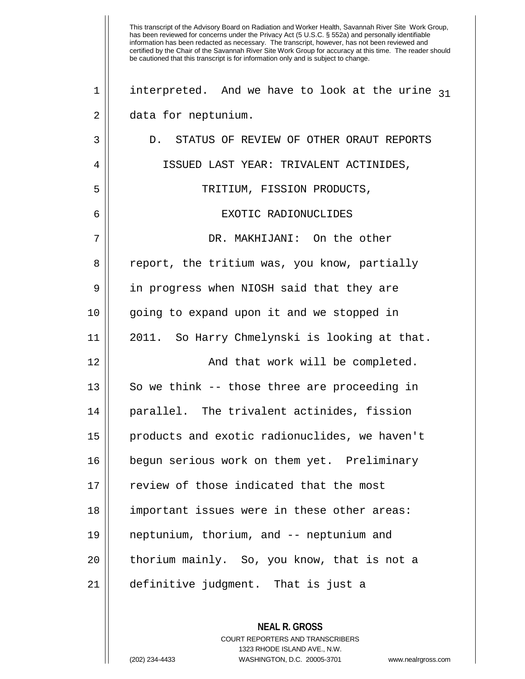This transcript of the Advisory Board on Radiation and Worker Health, Savannah River Site Work Group, has been reviewed for concerns under the Privacy Act (5 U.S.C. § 552a) and personally identifiable information has been redacted as necessary. The transcript, however, has not been reviewed and certified by the Chair of the Savannah River Site Work Group for accuracy at this time. The reader should be cautioned that this transcript is for information only and is subject to change. 1 | interpreted. And we have to look at the urine  $31$ 2 | data for neptunium. 3 || D. STATUS OF REVIEW OF OTHER ORAUT REPORTS 4 ISSUED LAST YEAR: TRIVALENT ACTINIDES, 5 TRITIUM, FISSION PRODUCTS, 6 EXOTIC RADIONUCLIDES 7 DR. MAKHIJANI: On the other 8 || report, the tritium was, you know, partially 9 | in progress when NIOSH said that they are 10 || going to expand upon it and we stopped in 11 2011. So Harry Chmelynski is looking at that. 12 || And that work will be completed.  $13$   $\parallel$  So we think -- those three are proceeding in 14 parallel. The trivalent actinides, fission 15 products and exotic radionuclides, we haven't 16 begun serious work on them yet. Preliminary 17 || review of those indicated that the most 18 || important issues were in these other areas: 19 neptunium, thorium, and -- neptunium and 20 || thorium mainly. So, you know, that is not a 21 definitive judgment. That is just a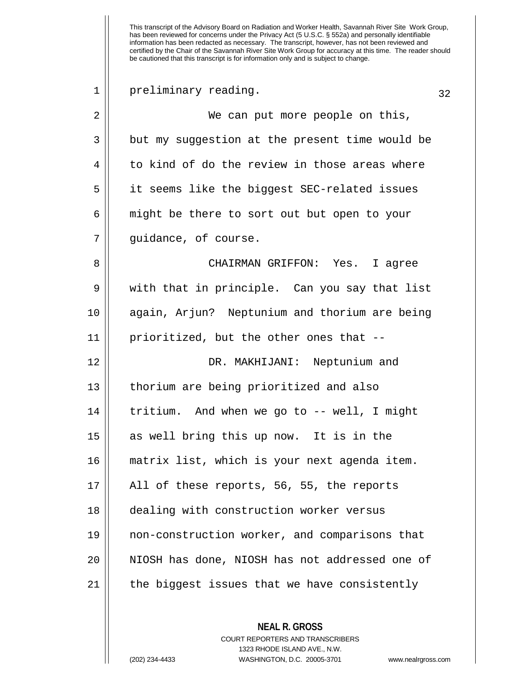| 1  | preliminary reading.                           | 32 |
|----|------------------------------------------------|----|
| 2  | We can put more people on this,                |    |
| 3  | but my suggestion at the present time would be |    |
| 4  | to kind of do the review in those areas where  |    |
| 5  | it seems like the biggest SEC-related issues   |    |
| 6  | might be there to sort out but open to your    |    |
| 7  | guidance, of course.                           |    |
| 8  | CHAIRMAN GRIFFON: Yes. I agree                 |    |
| 9  | with that in principle. Can you say that list  |    |
| 10 | again, Arjun? Neptunium and thorium are being  |    |
| 11 | prioritized, but the other ones that --        |    |
| 12 | DR. MAKHIJANI: Neptunium and                   |    |
| 13 | thorium are being prioritized and also         |    |
| 14 | tritium. And when we go to -- well, I might    |    |
| 15 | as well bring this up now. It is in the        |    |
| 16 | matrix list, which is your next agenda item.   |    |
| 17 | All of these reports, 56, 55, the reports      |    |
| 18 | dealing with construction worker versus        |    |
| 19 | non-construction worker, and comparisons that  |    |
| 20 | NIOSH has done, NIOSH has not addressed one of |    |
| 21 | the biggest issues that we have consistently   |    |
|    |                                                |    |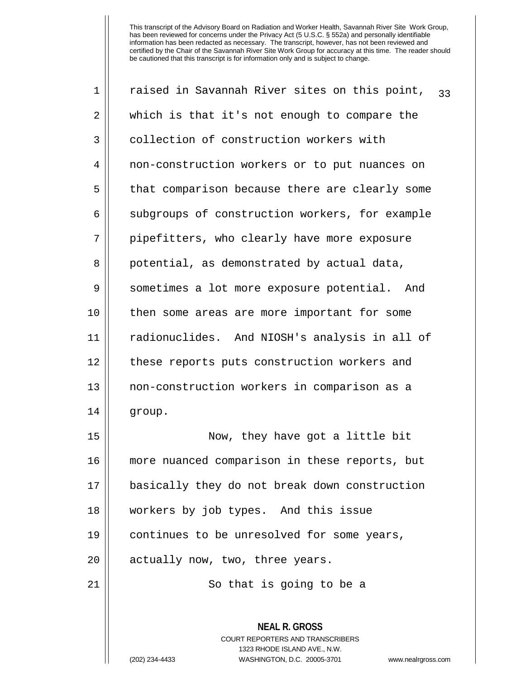| $\mathbf 1$    | raised in Savannah River sites on this point,<br>33                                                                                                             |
|----------------|-----------------------------------------------------------------------------------------------------------------------------------------------------------------|
| 2              | which is that it's not enough to compare the                                                                                                                    |
| 3              | collection of construction workers with                                                                                                                         |
| $\overline{4}$ | non-construction workers or to put nuances on                                                                                                                   |
| 5              | that comparison because there are clearly some                                                                                                                  |
| 6              | subgroups of construction workers, for example                                                                                                                  |
| 7              | pipefitters, who clearly have more exposure                                                                                                                     |
| 8              | potential, as demonstrated by actual data,                                                                                                                      |
| 9              | sometimes a lot more exposure potential. And                                                                                                                    |
| 10             | then some areas are more important for some                                                                                                                     |
| 11             | radionuclides. And NIOSH's analysis in all of                                                                                                                   |
| 12             | these reports puts construction workers and                                                                                                                     |
| 13             | non-construction workers in comparison as a                                                                                                                     |
| 14             | group.                                                                                                                                                          |
| 15             | Now, they have got a little bit                                                                                                                                 |
| 16             | more nuanced comparison in these reports, but                                                                                                                   |
| 17             | basically they do not break down construction                                                                                                                   |
| 18             | workers by job types. And this issue                                                                                                                            |
| 19             | continues to be unresolved for some years,                                                                                                                      |
| 20             | actually now, two, three years.                                                                                                                                 |
| 21             | So that is going to be a                                                                                                                                        |
|                | <b>NEAL R. GROSS</b><br>COURT REPORTERS AND TRANSCRIBERS<br>1323 RHODE ISLAND AVE., N.W.<br>WASHINGTON, D.C. 20005-3701<br>(202) 234-4433<br>www.nealrgross.com |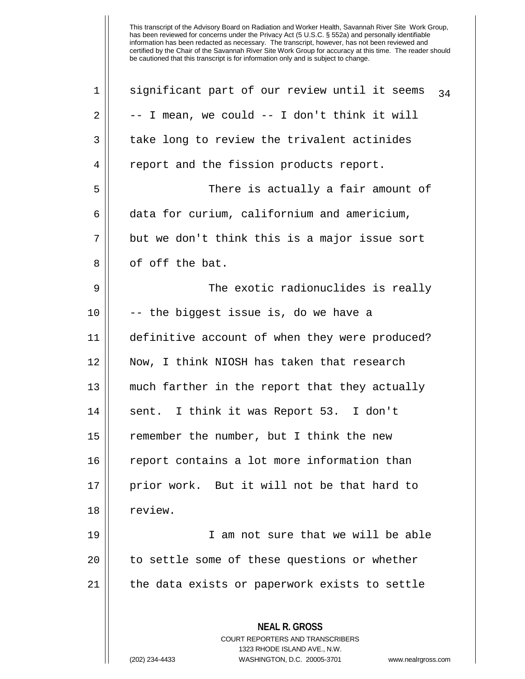| $\mathbf 1$ | significant part of our review until it seems<br>34                                                                                                             |
|-------------|-----------------------------------------------------------------------------------------------------------------------------------------------------------------|
| 2           | -- I mean, we could -- I don't think it will                                                                                                                    |
| 3           | take long to review the trivalent actinides                                                                                                                     |
| 4           | report and the fission products report.                                                                                                                         |
| 5           | There is actually a fair amount of                                                                                                                              |
| 6           | data for curium, californium and americium,                                                                                                                     |
| 7           | but we don't think this is a major issue sort                                                                                                                   |
| 8           | of off the bat.                                                                                                                                                 |
| 9           | The exotic radionuclides is really                                                                                                                              |
| 10          | -- the biggest issue is, do we have a                                                                                                                           |
| 11          | definitive account of when they were produced?                                                                                                                  |
| 12          | Now, I think NIOSH has taken that research                                                                                                                      |
| 13          | much farther in the report that they actually                                                                                                                   |
| 14          | sent. I think it was Report 53. I don't                                                                                                                         |
| 15          | remember the number, but I think the new                                                                                                                        |
| 16          | report contains a lot more information than                                                                                                                     |
| 17          | prior work. But it will not be that hard to                                                                                                                     |
| 18          | review.                                                                                                                                                         |
| 19          | I am not sure that we will be able                                                                                                                              |
| 20          | to settle some of these questions or whether                                                                                                                    |
| 21          | the data exists or paperwork exists to settle                                                                                                                   |
|             | <b>NEAL R. GROSS</b><br>COURT REPORTERS AND TRANSCRIBERS<br>1323 RHODE ISLAND AVE., N.W.<br>(202) 234-4433<br>WASHINGTON, D.C. 20005-3701<br>www.nealrgross.com |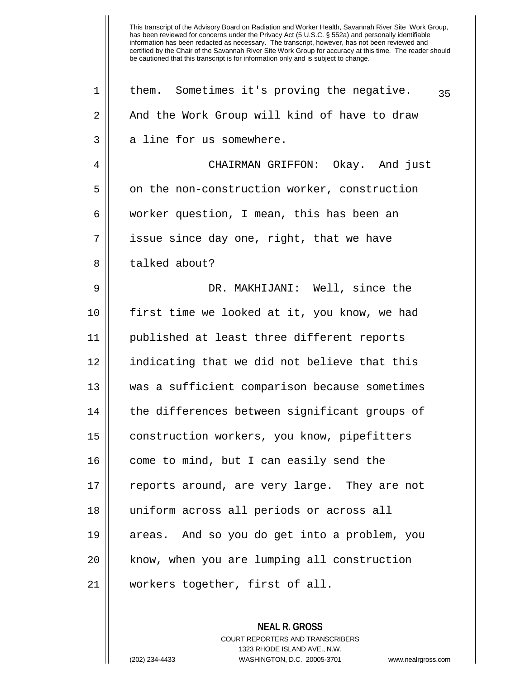| 1              | them. Sometimes it's proving the negative.<br>35 |
|----------------|--------------------------------------------------|
| $\overline{2}$ | And the Work Group will kind of have to draw     |
| 3              | a line for us somewhere.                         |
| 4              | CHAIRMAN GRIFFON: Okay. And just                 |
| 5              | on the non-construction worker, construction     |
| 6              | worker question, I mean, this has been an        |
| 7              | issue since day one, right, that we have         |
| 8              | talked about?                                    |
| 9              | DR. MAKHIJANI: Well, since the                   |
| 10             | first time we looked at it, you know, we had     |
| 11             | published at least three different reports       |
| 12             | indicating that we did not believe that this     |
| 13             | was a sufficient comparison because sometimes    |
| 14             | the differences between significant groups of    |
| 15             | construction workers, you know, pipefitters      |
| 16             | come to mind, but I can easily send the          |
| 17             | reports around, are very large. They are not     |
| 18             | uniform across all periods or across all         |
| 19             | areas. And so you do get into a problem, you     |
| 20             | know, when you are lumping all construction      |
| 21             | workers together, first of all.                  |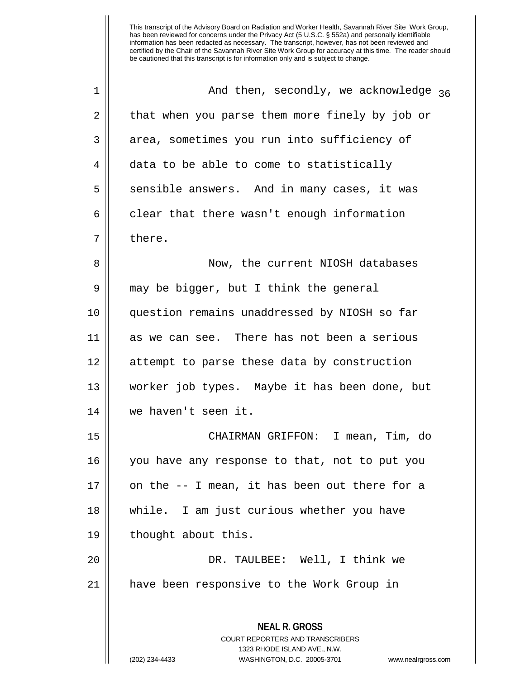| 1  | And then, secondly, we acknowledge $36$                                                                                                                                |
|----|------------------------------------------------------------------------------------------------------------------------------------------------------------------------|
| 2  | that when you parse them more finely by job or                                                                                                                         |
| 3  | area, sometimes you run into sufficiency of                                                                                                                            |
| 4  | data to be able to come to statistically                                                                                                                               |
| 5  | sensible answers. And in many cases, it was                                                                                                                            |
| 6  | clear that there wasn't enough information                                                                                                                             |
| 7  | there.                                                                                                                                                                 |
| 8  | Now, the current NIOSH databases                                                                                                                                       |
| 9  | may be bigger, but I think the general                                                                                                                                 |
| 10 | question remains unaddressed by NIOSH so far                                                                                                                           |
| 11 | as we can see. There has not been a serious                                                                                                                            |
| 12 | attempt to parse these data by construction                                                                                                                            |
| 13 | worker job types. Maybe it has been done, but                                                                                                                          |
| 14 | we haven't seen it.                                                                                                                                                    |
| 15 | CHAIRMAN GRIFFON: I mean, Tim, do                                                                                                                                      |
| 16 | you have any response to that, not to put you                                                                                                                          |
| 17 | on the -- I mean, it has been out there for a                                                                                                                          |
| 18 | while. I am just curious whether you have                                                                                                                              |
| 19 | thought about this.                                                                                                                                                    |
| 20 | DR. TAULBEE: Well, I think we                                                                                                                                          |
| 21 | have been responsive to the Work Group in                                                                                                                              |
|    | <b>NEAL R. GROSS</b><br><b>COURT REPORTERS AND TRANSCRIBERS</b><br>1323 RHODE ISLAND AVE., N.W.<br>WASHINGTON, D.C. 20005-3701<br>(202) 234-4433<br>www.nealrgross.com |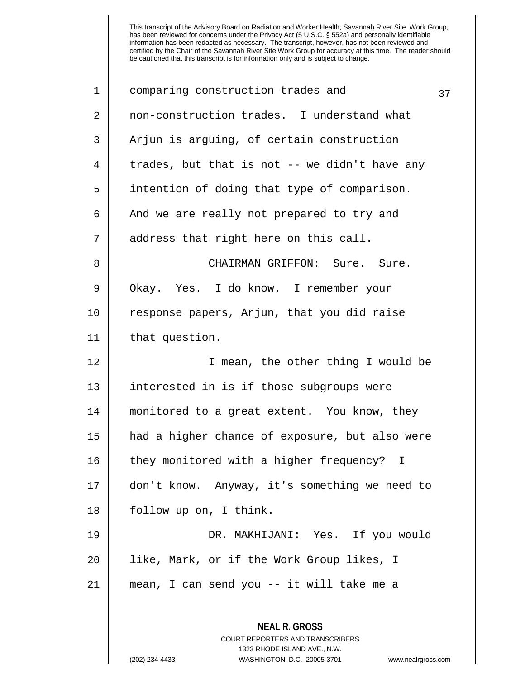**NEAL R. GROSS** COURT REPORTERS AND TRANSCRIBERS 1323 RHODE ISLAND AVE., N.W.  $1 \parallel$  comparing construction trades and  $37$ 2 || non-construction trades. I understand what 3 || Arjun is arguing, of certain construction  $4 \parallel$  trades, but that is not -- we didn't have any 5 || intention of doing that type of comparison. 6 || And we are really not prepared to try and 7 address that right here on this call. 8 CHAIRMAN GRIFFON: Sure. Sure. 9 | Okay. Yes. I do know. I remember your 10 response papers, Arjun, that you did raise 11 | that question. 12 || I mean, the other thing I would be 13 || interested in is if those subgroups were 14 monitored to a great extent. You know, they 15 had a higher chance of exposure, but also were 16 || they monitored with a higher frequency? I 17 don't know. Anyway, it's something we need to 18 || follow up on, I think. 19 DR. MAKHIJANI: Yes. If you would 20 like, Mark, or if the Work Group likes, I 21 mean, I can send you -- it will take me a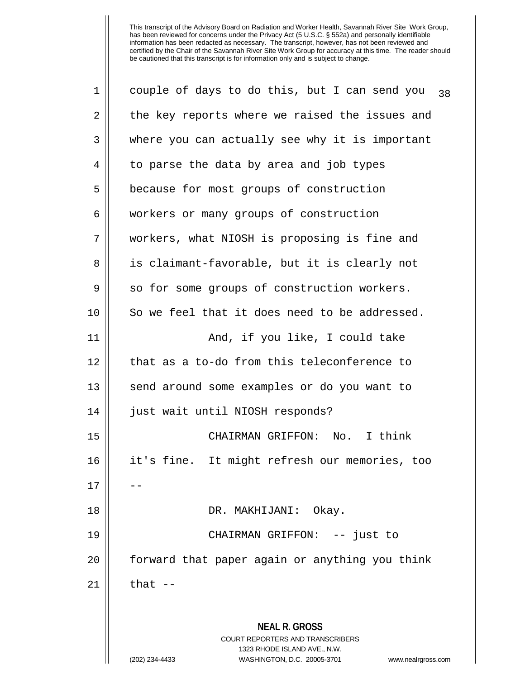| 1  | couple of days to do this, but I can send you<br>38                                                 |
|----|-----------------------------------------------------------------------------------------------------|
| 2  | the key reports where we raised the issues and                                                      |
| 3  | where you can actually see why it is important                                                      |
| 4  | to parse the data by area and job types                                                             |
| 5  | because for most groups of construction                                                             |
| 6  | workers or many groups of construction                                                              |
| 7  | workers, what NIOSH is proposing is fine and                                                        |
| 8  | is claimant-favorable, but it is clearly not                                                        |
| 9  | so for some groups of construction workers.                                                         |
| 10 | So we feel that it does need to be addressed.                                                       |
| 11 | And, if you like, I could take                                                                      |
| 12 | that as a to-do from this teleconference to                                                         |
| 13 | send around some examples or do you want to                                                         |
| 14 | just wait until NIOSH responds?                                                                     |
| 15 | CHAIRMAN GRIFFON: No. I think                                                                       |
| 16 | it's fine. It might refresh our memories, too                                                       |
| 17 |                                                                                                     |
| 18 | DR. MAKHIJANI: Okay.                                                                                |
| 19 | CHAIRMAN GRIFFON: -- just to                                                                        |
| 20 | forward that paper again or anything you think                                                      |
| 21 | that $-$                                                                                            |
|    |                                                                                                     |
|    | <b>NEAL R. GROSS</b><br><b>COURT REPORTERS AND TRANSCRIBERS</b>                                     |
|    | 1323 RHODE ISLAND AVE., N.W.<br>WASHINGTON, D.C. 20005-3701<br>(202) 234-4433<br>www.nealrgross.com |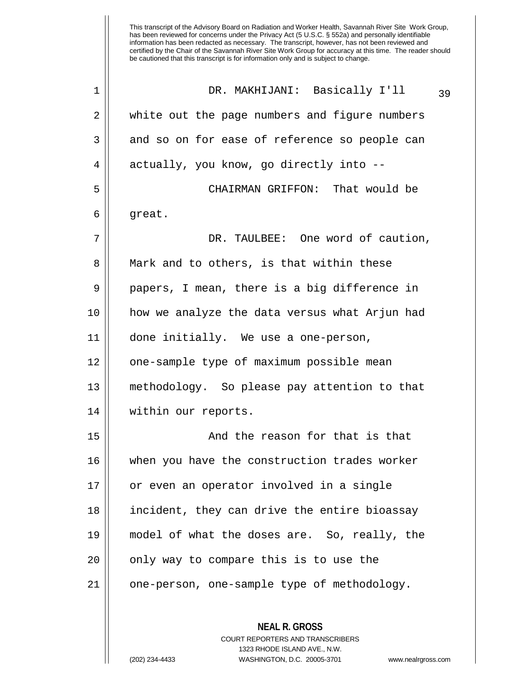This transcript of the Advisory Board on Radiation and Worker Health, Savannah River Site Work Group, has been reviewed for concerns under the Privacy Act (5 U.S.C. § 552a) and personally identifiable information has been redacted as necessary. The transcript, however, has not been reviewed and certified by the Chair of the Savannah River Site Work Group for accuracy at this time. The reader should be cautioned that this transcript is for information only and is subject to change. DR. MAKHIJANI: Basically I'll 39 1 2 || white out the page numbers and figure numbers 3 and so on for ease of reference so people can 4 || actually, you know, go directly into --5 CHAIRMAN GRIFFON: That would be

 $6 \parallel$  great.

7 DR. TAULBEE: One word of caution, 8 || Mark and to others, is that within these  $9 \parallel$  papers, I mean, there is a big difference in 10 how we analyze the data versus what Arjun had 11 done initially. We use a one-person, 12 || one-sample type of maximum possible mean 13 methodology. So please pay attention to that 14 within our reports.

15 And the reason for that is that 16 when you have the construction trades worker 17 || or even an operator involved in a single 18 incident, they can drive the entire bioassay 19 model of what the doses are. So, really, the  $20$  || only way to compare this is to use the 21 || one-person, one-sample type of methodology.

> **NEAL R. GROSS** COURT REPORTERS AND TRANSCRIBERS 1323 RHODE ISLAND AVE., N.W. (202) 234-4433 WASHINGTON, D.C. 20005-3701 www.nealrgross.com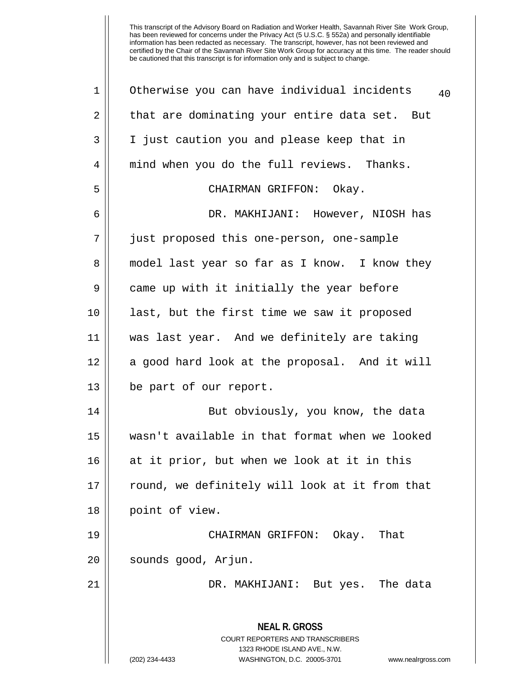| 2<br>3 | that are dominating your entire data set. But<br>I just caution you and please keep that in                                                                            |
|--------|------------------------------------------------------------------------------------------------------------------------------------------------------------------------|
|        |                                                                                                                                                                        |
|        |                                                                                                                                                                        |
| 4      | mind when you do the full reviews. Thanks.                                                                                                                             |
| 5      | CHAIRMAN GRIFFON: Okay.                                                                                                                                                |
| 6      | DR. MAKHIJANI: However, NIOSH has                                                                                                                                      |
| 7      | just proposed this one-person, one-sample                                                                                                                              |
| 8      | model last year so far as I know. I know they                                                                                                                          |
| 9      | came up with it initially the year before                                                                                                                              |
| 10     | last, but the first time we saw it proposed                                                                                                                            |
| 11     | was last year. And we definitely are taking                                                                                                                            |
| 12     | a good hard look at the proposal. And it will                                                                                                                          |
| 13     | be part of our report.                                                                                                                                                 |
| 14     | But obviously, you know, the data                                                                                                                                      |
| 15     | wasn't available in that format when we looked                                                                                                                         |
| 16     | at it prior, but when we look at it in this                                                                                                                            |
| 17     | round, we definitely will look at it from that                                                                                                                         |
| 18     | point of view.                                                                                                                                                         |
| 19     | CHAIRMAN GRIFFON: Okay.<br>That                                                                                                                                        |
| 20     | sounds good, Arjun.                                                                                                                                                    |
| 21     | DR. MAKHIJANI: But yes. The data                                                                                                                                       |
|        | <b>NEAL R. GROSS</b><br><b>COURT REPORTERS AND TRANSCRIBERS</b><br>1323 RHODE ISLAND AVE., N.W.<br>(202) 234-4433<br>WASHINGTON, D.C. 20005-3701<br>www.nealrgross.com |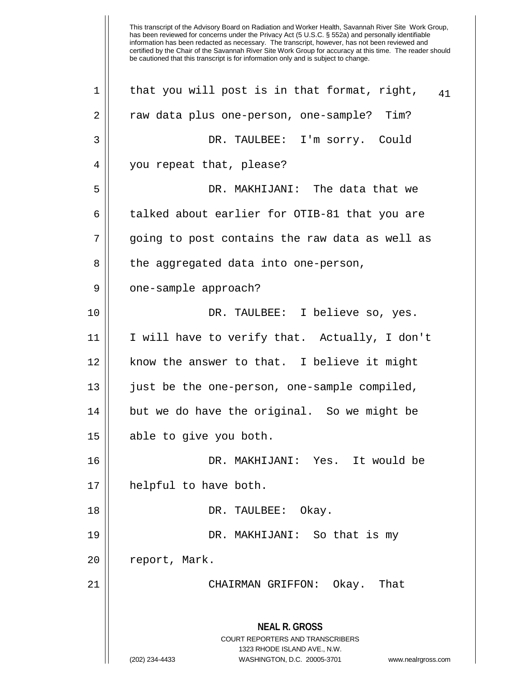**NEAL R. GROSS** COURT REPORTERS AND TRANSCRIBERS 1323 RHODE ISLAND AVE., N.W. (202) 234-4433 WASHINGTON, D.C. 20005-3701 www.nealrgross.com 1 || that you will post is in that format, right,  $41$ 2 || raw data plus one-person, one-sample? Tim? 3 DR. TAULBEE: I'm sorry. Could 4 || you repeat that, please? 5 DR. MAKHIJANI: The data that we 6 talked about earlier for OTIB-81 that you are 7 going to post contains the raw data as well as 8 || the aggregated data into one-person, 9 | one-sample approach? 10 DR. TAULBEE: I believe so, yes. 11 I will have to verify that. Actually, I don't 12 || know the answer to that. I believe it might 13 || just be the one-person, one-sample compiled, 14 || but we do have the original. So we might be 15 || able to give you both. 16 DR. MAKHIJANI: Yes. It would be 17 helpful to have both. 18 DR. TAULBEE: Okay. 19 DR. MAKHIJANI: So that is my 20 | report, Mark. 21 CHAIRMAN GRIFFON: Okay. That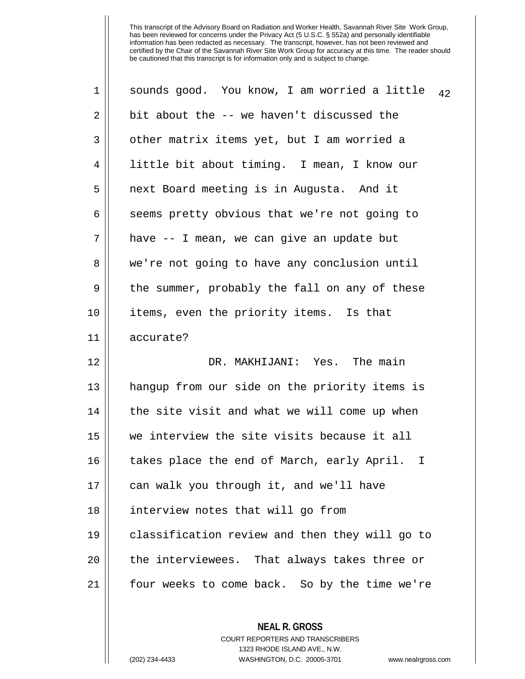| 1  | sounds good. You know, I am worried a little<br>42 |
|----|----------------------------------------------------|
| 2  | bit about the -- we haven't discussed the          |
| 3  | other matrix items yet, but I am worried a         |
| 4  | little bit about timing. I mean, I know our        |
| 5  | next Board meeting is in Augusta. And it           |
| 6  | seems pretty obvious that we're not going to       |
| 7  | have -- I mean, we can give an update but          |
| 8  | we're not going to have any conclusion until       |
| 9  | the summer, probably the fall on any of these      |
| 10 | items, even the priority items. Is that            |
| 11 | accurate?                                          |
| 12 | DR. MAKHIJANI: Yes. The main                       |
| 13 | hangup from our side on the priority items is      |
| 14 | the site visit and what we will come up when       |
| 15 | we interview the site visits because it all        |
| 16 | takes place the end of March, early April. I       |
| 17 | can walk you through it, and we'll have            |
| 18 | interview notes that will go from                  |
| 19 | classification review and then they will go to     |
| 20 | the interviewees. That always takes three or       |
| 21 | four weeks to come back. So by the time we're      |
|    |                                                    |

**NEAL R. GROSS** COURT REPORTERS AND TRANSCRIBERS 1323 RHODE ISLAND AVE., N.W. (202) 234-4433 WASHINGTON, D.C. 20005-3701 www.nealrgross.com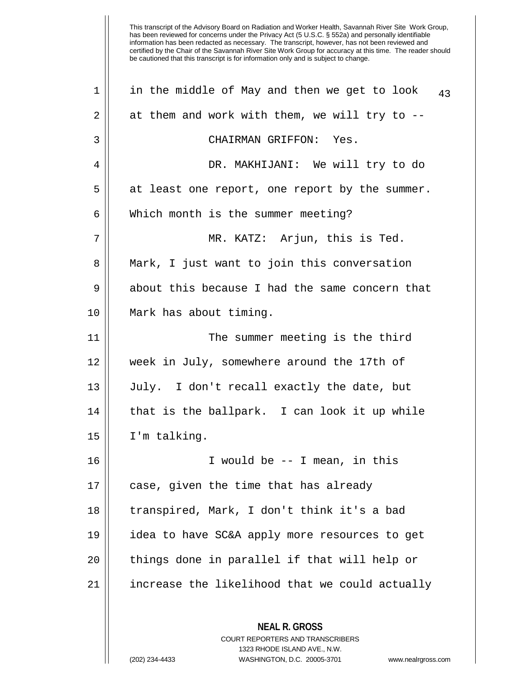| 1  | in the middle of May and then we get to look<br>43       |
|----|----------------------------------------------------------|
| 2  | at them and work with them, we will try to --            |
| 3  | CHAIRMAN GRIFFON: Yes.                                   |
| 4  | DR. MAKHIJANI: We will try to do                         |
| 5  | at least one report, one report by the summer.           |
| 6  | Which month is the summer meeting?                       |
| 7  | MR. KATZ: Arjun, this is Ted.                            |
| 8  | Mark, I just want to join this conversation              |
| 9  | about this because I had the same concern that           |
| 10 | Mark has about timing.                                   |
| 11 | The summer meeting is the third                          |
| 12 | week in July, somewhere around the 17th of               |
| 13 | July. I don't recall exactly the date, but               |
| 14 | that is the ballpark. I can look it up while             |
| 15 | I'm talking.                                             |
| 16 | I would be -- I mean, in this                            |
| 17 | case, given the time that has already                    |
| 18 | transpired, Mark, I don't think it's a bad               |
| 19 | idea to have SC&A apply more resources to get            |
| 20 | things done in parallel if that will help or             |
| 21 | increase the likelihood that we could actually           |
|    | <b>NEAL R. GROSS</b><br>COURT REPORTERS AND TRANSCRIBERS |

1323 RHODE ISLAND AVE., N.W.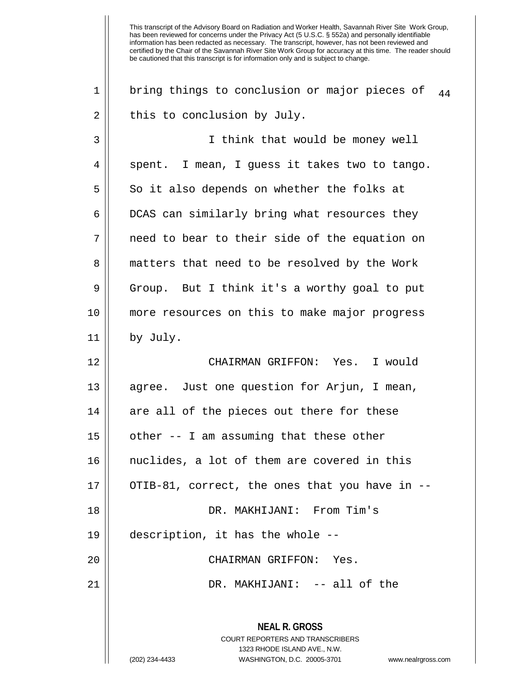**NEAL R. GROSS** COURT REPORTERS AND TRANSCRIBERS 1323 RHODE ISLAND AVE., N.W. (202) 234-4433 WASHINGTON, D.C. 20005-3701 www.nealrgross.com 1 || bring things to conclusion or major pieces of  $_{44}$  $2 \parallel$  this to conclusion by July. 3 I think that would be money well  $4 \parallel$  spent. I mean, I guess it takes two to tango.  $5 \parallel$  So it also depends on whether the folks at 6 | DCAS can similarly bring what resources they 7 need to bear to their side of the equation on 8 || matters that need to be resolved by the Work  $9 \parallel$  Group. But I think it's a worthy goal to put 10 more resources on this to make major progress 11 by July. 12 CHAIRMAN GRIFFON: Yes. I would 13 || agree. Just one question for Arjun, I mean,  $14$  are all of the pieces out there for these  $15$  | other -- I am assuming that these other 16 nuclides, a lot of them are covered in this 17 || OTIB-81, correct, the ones that you have in --18 DR. MAKHIJANI: From Tim's 19 description, it has the whole -- 20 CHAIRMAN GRIFFON: Yes. 21 DR. MAKHIJANI: -- all of the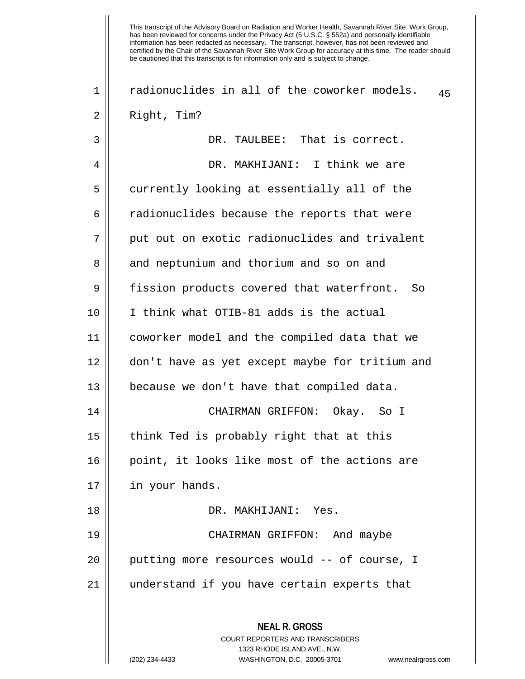| 1  | radionuclides in all of the coworker models.<br>45                                                                                                                     |
|----|------------------------------------------------------------------------------------------------------------------------------------------------------------------------|
| 2  | Right, Tim?                                                                                                                                                            |
| 3  | DR. TAULBEE: That is correct.                                                                                                                                          |
| 4  | DR. MAKHIJANI: I think we are                                                                                                                                          |
| 5  | currently looking at essentially all of the                                                                                                                            |
| 6  | radionuclides because the reports that were                                                                                                                            |
| 7  | put out on exotic radionuclides and trivalent                                                                                                                          |
| 8  | and neptunium and thorium and so on and                                                                                                                                |
| 9  | fission products covered that waterfront.<br>So                                                                                                                        |
| 10 | I think what OTIB-81 adds is the actual                                                                                                                                |
| 11 | coworker model and the compiled data that we                                                                                                                           |
| 12 | don't have as yet except maybe for tritium and                                                                                                                         |
| 13 | because we don't have that compiled data.                                                                                                                              |
| 14 | CHAIRMAN GRIFFON: Okay. So I                                                                                                                                           |
| 15 | think Ted is probably right that at this                                                                                                                               |
| 16 | point, it looks like most of the actions are                                                                                                                           |
| 17 | in your hands.                                                                                                                                                         |
| 18 | DR. MAKHIJANI: Yes.                                                                                                                                                    |
| 19 | CHAIRMAN GRIFFON: And maybe                                                                                                                                            |
| 20 | putting more resources would -- of course, I                                                                                                                           |
| 21 | understand if you have certain experts that                                                                                                                            |
|    | <b>NEAL R. GROSS</b><br><b>COURT REPORTERS AND TRANSCRIBERS</b><br>1323 RHODE ISLAND AVE., N.W.<br>(202) 234-4433<br>WASHINGTON, D.C. 20005-3701<br>www.nealrgross.com |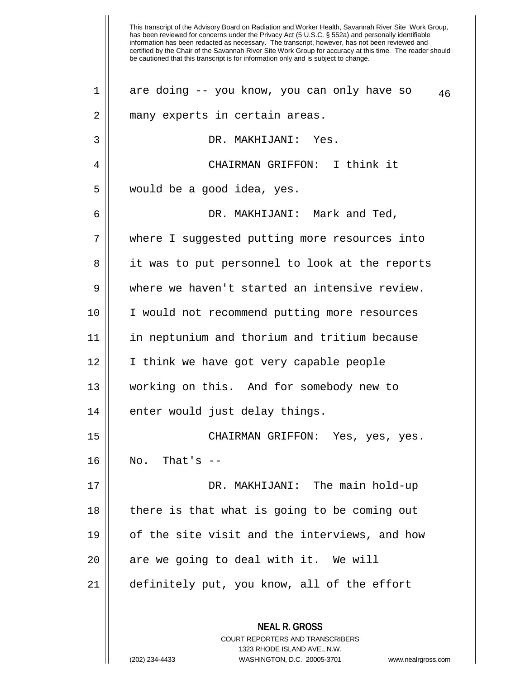| $\mathbf 1$ | are doing -- you know, you can only have so<br>46 |
|-------------|---------------------------------------------------|
| 2           | many experts in certain areas.                    |
| 3           | DR. MAKHIJANI: Yes.                               |
| 4           | CHAIRMAN GRIFFON: I think it                      |
| 5           | would be a good idea, yes.                        |
| 6           | DR. MAKHIJANI: Mark and Ted,                      |
| 7           | where I suggested putting more resources into     |
| 8           | it was to put personnel to look at the reports    |
| 9           | where we haven't started an intensive review.     |
| 10          | I would not recommend putting more resources      |
| 11          | in neptunium and thorium and tritium because      |
| 12          | I think we have got very capable people           |
| 13          | working on this. And for somebody new to          |
| 14          | enter would just delay things.                    |
| 15          | CHAIRMAN GRIFFON: Yes, yes, yes.                  |
| 16          | No. That's $--$                                   |
| 17          | DR. MAKHIJANI: The main hold-up                   |
| 18          | there is that what is going to be coming out      |
| 19          | of the site visit and the interviews, and how     |
| 20          | are we going to deal with it. We will             |
| 21          | definitely put, you know, all of the effort       |
|             | <b>NEAL R. GROSS</b>                              |

COURT REPORTERS AND TRANSCRIBERS 1323 RHODE ISLAND AVE., N.W.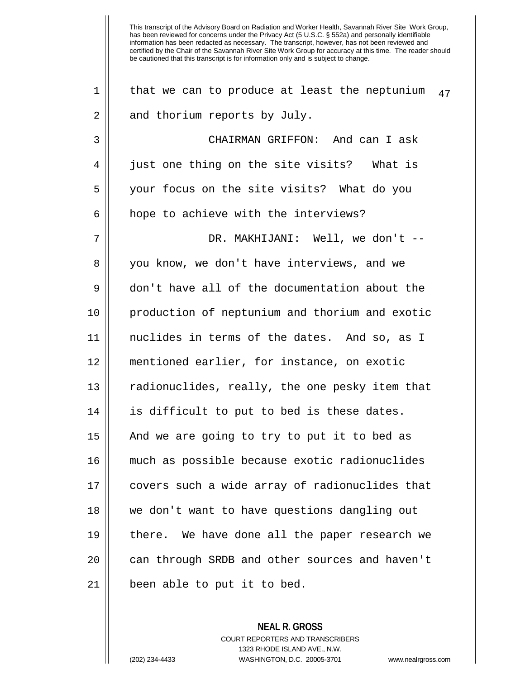1 | that we can to produce at least the neptunium  $_{47}$ 2 || and thorium reports by July. 3 CHAIRMAN GRIFFON: And can I ask 4 || just one thing on the site visits? What is 5 || your focus on the site visits? What do you 6 | hope to achieve with the interviews? 7 DR. MAKHIJANI: Well, we don't -- 8 || you know, we don't have interviews, and we 9 don't have all of the documentation about the 10 production of neptunium and thorium and exotic 11 nuclides in terms of the dates. And so, as I 12 mentioned earlier, for instance, on exotic 13 || radionuclides, really, the one pesky item that 14 || is difficult to put to bed is these dates. 15 || And we are going to try to put it to bed as 16 much as possible because exotic radionuclides 17 covers such a wide array of radionuclides that 18 we don't want to have questions dangling out 19 there. We have done all the paper research we 20 || can through SRDB and other sources and haven't  $21$  || been able to put it to bed.

> **NEAL R. GROSS** COURT REPORTERS AND TRANSCRIBERS 1323 RHODE ISLAND AVE., N.W. (202) 234-4433 WASHINGTON, D.C. 20005-3701 www.nealrgross.com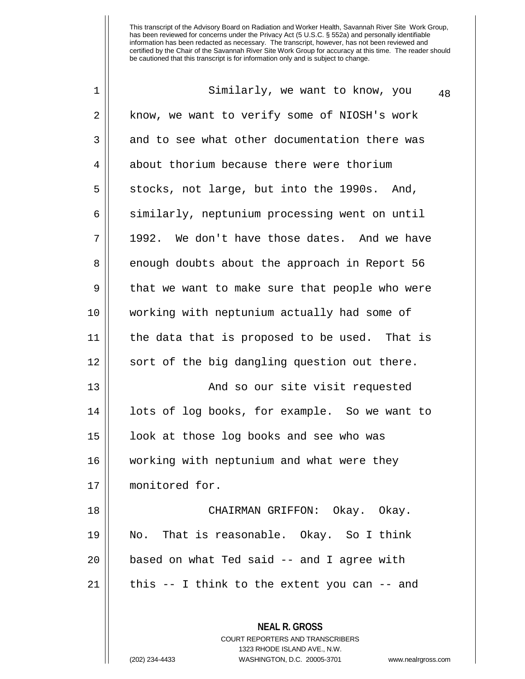| 1           | Similarly, we want to know, you<br>48                                                                                                                                  |
|-------------|------------------------------------------------------------------------------------------------------------------------------------------------------------------------|
| 2           | know, we want to verify some of NIOSH's work                                                                                                                           |
| 3           | and to see what other documentation there was                                                                                                                          |
| 4           | about thorium because there were thorium                                                                                                                               |
| 5           | stocks, not large, but into the 1990s. And,                                                                                                                            |
| 6           | similarly, neptunium processing went on until                                                                                                                          |
| 7           | 1992. We don't have those dates. And we have                                                                                                                           |
| 8           | enough doubts about the approach in Report 56                                                                                                                          |
| $\mathsf 9$ | that we want to make sure that people who were                                                                                                                         |
| 10          | working with neptunium actually had some of                                                                                                                            |
| 11          | the data that is proposed to be used. That is                                                                                                                          |
| 12          | sort of the big dangling question out there.                                                                                                                           |
| 13          | And so our site visit requested                                                                                                                                        |
| 14          | lots of log books, for example. So we want to                                                                                                                          |
| 15          | look at those log books and see who was                                                                                                                                |
| 16          | working with neptunium and what were they                                                                                                                              |
| 17          | monitored for.                                                                                                                                                         |
| 18          | CHAIRMAN GRIFFON: Okay. Okay.                                                                                                                                          |
| 19          | No. That is reasonable. Okay. So I think                                                                                                                               |
| 20          | based on what Ted said -- and I agree with                                                                                                                             |
| 21          | this $-$ - I think to the extent you can $-$ - and                                                                                                                     |
|             | <b>NEAL R. GROSS</b><br><b>COURT REPORTERS AND TRANSCRIBERS</b><br>1323 RHODE ISLAND AVE., N.W.<br>(202) 234-4433<br>WASHINGTON, D.C. 20005-3701<br>www.nealrgross.com |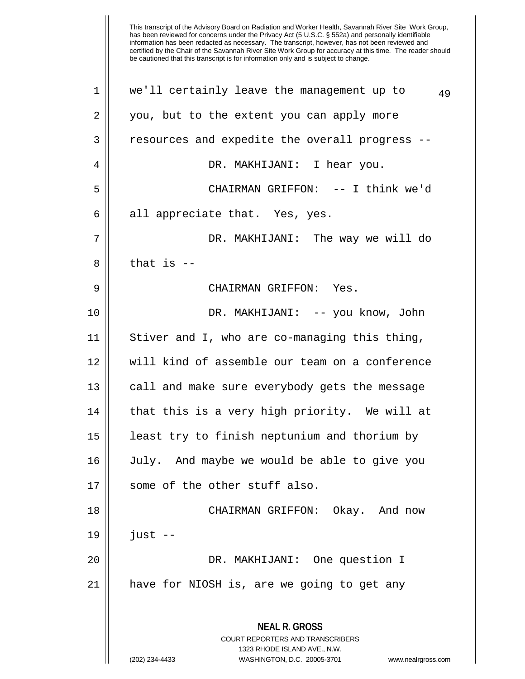| $\mathbf 1$ | we'll certainly leave the management up to<br>49                                                    |
|-------------|-----------------------------------------------------------------------------------------------------|
| 2           | you, but to the extent you can apply more                                                           |
| 3           | resources and expedite the overall progress --                                                      |
| 4           | DR. MAKHIJANI: I hear you.                                                                          |
| 5           | CHAIRMAN GRIFFON: -- I think we'd                                                                   |
| 6           | all appreciate that. Yes, yes.                                                                      |
| 7           | DR. MAKHIJANI: The way we will do                                                                   |
| 8           | that is $-$                                                                                         |
| 9           | CHAIRMAN GRIFFON: Yes.                                                                              |
| 10          | DR. MAKHIJANI: -- you know, John                                                                    |
| 11          | Stiver and I, who are co-managing this thing,                                                       |
| 12          | will kind of assemble our team on a conference                                                      |
| 13          | call and make sure everybody gets the message                                                       |
| 14          | that this is a very high priority. We will at                                                       |
| 15          | least try to finish neptunium and thorium by                                                        |
| 16          | July. And maybe we would be able to give you                                                        |
| 17          | some of the other stuff also.                                                                       |
| 18          | CHAIRMAN GRIFFON: Okay. And now                                                                     |
| 19          | $just --$                                                                                           |
| 20          | DR. MAKHIJANI: One question I                                                                       |
| 21          | have for NIOSH is, are we going to get any                                                          |
|             | <b>NEAL R. GROSS</b>                                                                                |
|             | <b>COURT REPORTERS AND TRANSCRIBERS</b>                                                             |
|             | 1323 RHODE ISLAND AVE., N.W.<br>(202) 234-4433<br>WASHINGTON, D.C. 20005-3701<br>www.nealrgross.com |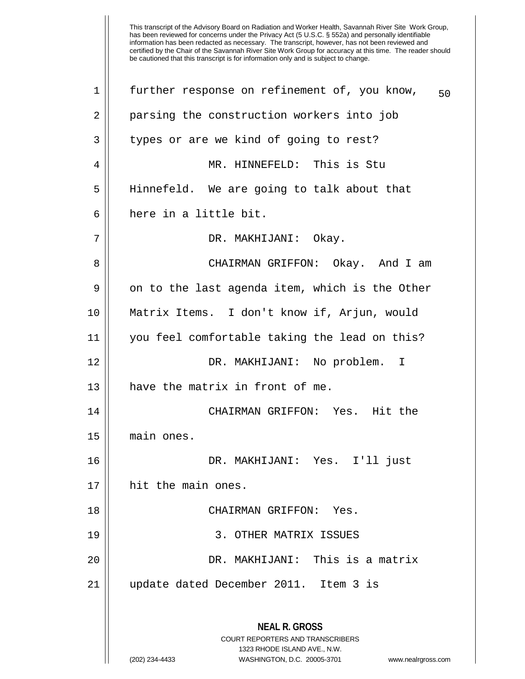| 1  | further response on refinement of, you know,<br>50                                              |
|----|-------------------------------------------------------------------------------------------------|
| 2  | parsing the construction workers into job                                                       |
| 3  | types or are we kind of going to rest?                                                          |
| 4  | MR. HINNEFELD: This is Stu                                                                      |
| 5  | Hinnefeld. We are going to talk about that                                                      |
| 6  | here in a little bit.                                                                           |
| 7  | DR. MAKHIJANI: Okay.                                                                            |
| 8  | CHAIRMAN GRIFFON: Okay. And I am                                                                |
| 9  | on to the last agenda item, which is the Other                                                  |
| 10 | Matrix Items. I don't know if, Arjun, would                                                     |
| 11 | you feel comfortable taking the lead on this?                                                   |
| 12 | DR. MAKHIJANI: No problem. I                                                                    |
| 13 | have the matrix in front of me.                                                                 |
| 14 | CHAIRMAN GRIFFON: Yes. Hit the                                                                  |
| 15 | main ones.                                                                                      |
| 16 | DR. MAKHIJANI: Yes. I'll just                                                                   |
| 17 | hit the main ones.                                                                              |
| 18 | CHAIRMAN GRIFFON: Yes.                                                                          |
| 19 | 3. OTHER MATRIX ISSUES                                                                          |
| 20 | DR. MAKHIJANI: This is a matrix                                                                 |
| 21 | update dated December 2011. Item 3 is                                                           |
|    | <b>NEAL R. GROSS</b><br><b>COURT REPORTERS AND TRANSCRIBERS</b><br>1323 RHODE ISLAND AVE., N.W. |
|    | (202) 234-4433<br>WASHINGTON, D.C. 20005-3701<br>www.nealrgross.com                             |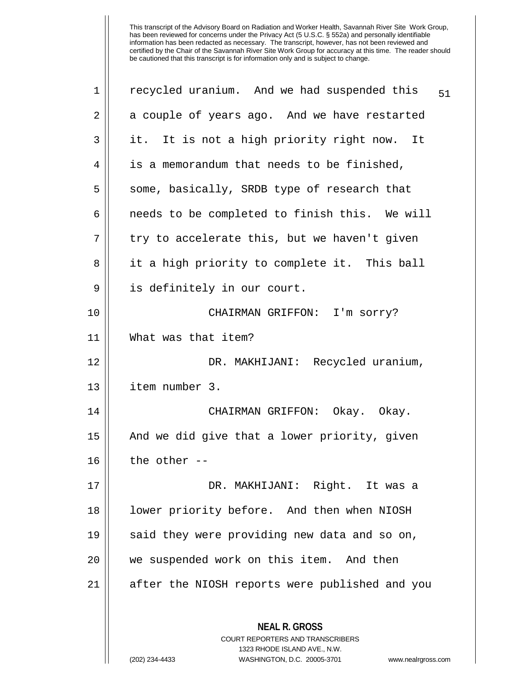| 1  | recycled uranium. And we had suspended this<br>51                                                   |
|----|-----------------------------------------------------------------------------------------------------|
| 2  | a couple of years ago. And we have restarted                                                        |
| 3  | it. It is not a high priority right now. It                                                         |
| 4  | is a memorandum that needs to be finished,                                                          |
| 5  | some, basically, SRDB type of research that                                                         |
| 6  | needs to be completed to finish this. We will                                                       |
| 7  | try to accelerate this, but we haven't given                                                        |
| 8  | it a high priority to complete it. This ball                                                        |
| 9  | is definitely in our court.                                                                         |
| 10 | CHAIRMAN GRIFFON: I'm sorry?                                                                        |
| 11 | What was that item?                                                                                 |
| 12 | DR. MAKHIJANI: Recycled uranium,                                                                    |
| 13 | item number 3.                                                                                      |
| 14 | CHAIRMAN GRIFFON: Okay. Okay.                                                                       |
| 15 | And we did give that a lower priority, given                                                        |
| 16 | the other --                                                                                        |
| 17 | DR. MAKHIJANI: Right. It was a                                                                      |
| 18 | lower priority before. And then when NIOSH                                                          |
| 19 | said they were providing new data and so on,                                                        |
| 20 | we suspended work on this item. And then                                                            |
| 21 | after the NIOSH reports were published and you                                                      |
|    | <b>NEAL R. GROSS</b>                                                                                |
|    | <b>COURT REPORTERS AND TRANSCRIBERS</b>                                                             |
|    | 1323 RHODE ISLAND AVE., N.W.<br>WASHINGTON, D.C. 20005-3701<br>(202) 234-4433<br>www.nealrgross.com |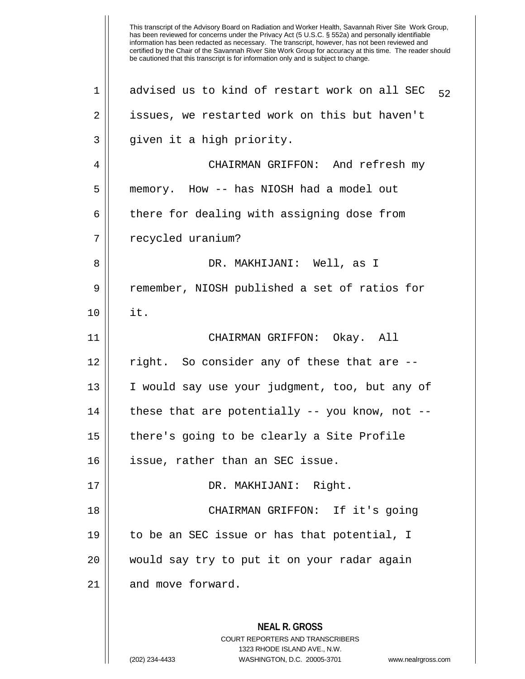| $\mathbf 1$ | advised us to kind of restart work on all SEC<br>52                                                                                                                    |
|-------------|------------------------------------------------------------------------------------------------------------------------------------------------------------------------|
| 2           | issues, we restarted work on this but haven't                                                                                                                          |
| 3           | given it a high priority.                                                                                                                                              |
| 4           | CHAIRMAN GRIFFON: And refresh my                                                                                                                                       |
| 5           | memory. How -- has NIOSH had a model out                                                                                                                               |
| 6           | there for dealing with assigning dose from                                                                                                                             |
| 7           | recycled uranium?                                                                                                                                                      |
| 8           | DR. MAKHIJANI: Well, as I                                                                                                                                              |
| 9           | remember, NIOSH published a set of ratios for                                                                                                                          |
| 10          | it.                                                                                                                                                                    |
| 11          | CHAIRMAN GRIFFON: Okay. All                                                                                                                                            |
| 12          | right. So consider any of these that are --                                                                                                                            |
| 13          | I would say use your judgment, too, but any of                                                                                                                         |
| 14          | these that are potentially -- you know, not --                                                                                                                         |
| 15          | there's going to be clearly a Site Profile                                                                                                                             |
| 16          | issue, rather than an SEC issue                                                                                                                                        |
| 17          | DR. MAKHIJANI: Right.                                                                                                                                                  |
| 18          | CHAIRMAN GRIFFON: If it's going                                                                                                                                        |
| 19          | to be an SEC issue or has that potential, I                                                                                                                            |
| 20          | would say try to put it on your radar again                                                                                                                            |
| 21          | and move forward.                                                                                                                                                      |
|             | <b>NEAL R. GROSS</b><br><b>COURT REPORTERS AND TRANSCRIBERS</b><br>1323 RHODE ISLAND AVE., N.W.<br>(202) 234-4433<br>WASHINGTON, D.C. 20005-3701<br>www.nealrgross.com |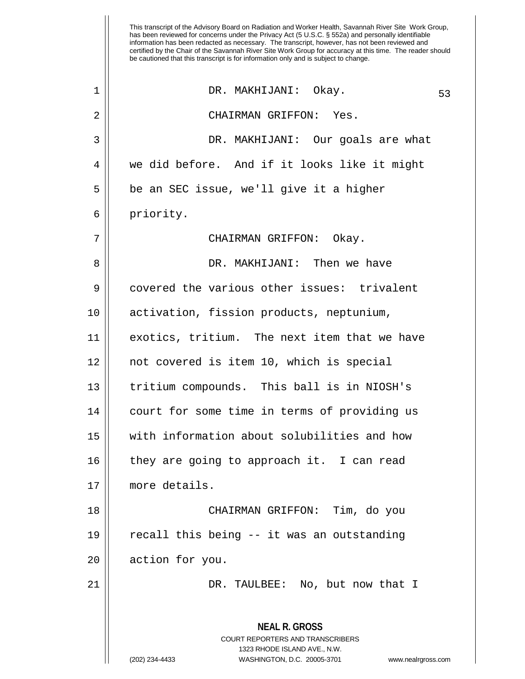**NEAL R. GROSS** COURT REPORTERS AND TRANSCRIBERS 1323 RHODE ISLAND AVE., N.W. (202) 234-4433 WASHINGTON, D.C. 20005-3701 www.nealrgross.com DR. MAKHIJANI: Okay. 53 1 2 CHAIRMAN GRIFFON: Yes. 3 DR. MAKHIJANI: Our goals are what 4 we did before. And if it looks like it might 5 || be an SEC issue, we'll give it a higher 6 | priority. 7 CHAIRMAN GRIFFON: Okay. 8 DR. MAKHIJANI: Then we have 9 covered the various other issues: trivalent 10 activation, fission products, neptunium, 11 exotics, tritium. The next item that we have 12 not covered is item 10, which is special 13 || tritium compounds. This ball is in NIOSH's 14 court for some time in terms of providing us 15 with information about solubilities and how  $16$  || they are going to approach it. I can read 17 more details. 18 CHAIRMAN GRIFFON: Tim, do you 19 recall this being -- it was an outstanding 20 | action for you. 21 DR. TAULBEE: No, but now that I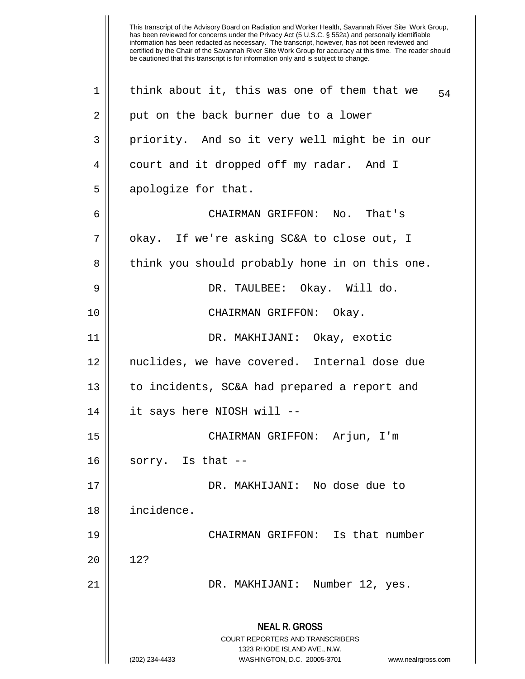**NEAL R. GROSS** COURT REPORTERS AND TRANSCRIBERS 1323 RHODE ISLAND AVE., N.W. (202) 234-4433 WASHINGTON, D.C. 20005-3701 www.nealrgross.com 1 || think about it, this was one of them that we  $_{54}$ 2 || put on the back burner due to a lower 3 || priority. And so it very well might be in our 4 | court and it dropped off my radar. And I  $5 \parallel$  apologize for that. 6 CHAIRMAN GRIFFON: No. That's 7 || okay. If we're asking SC&A to close out, I 8 || think you should probably hone in on this one. 9 DR. TAULBEE: Okay. Will do. 10 CHAIRMAN GRIFFON: Okay. 11 DR. MAKHIJANI: Okay, exotic 12 nuclides, we have covered. Internal dose due 13 || to incidents, SC&A had prepared a report and 14 it says here NIOSH will -- 15 CHAIRMAN GRIFFON: Arjun, I'm  $16$  || sorry. Is that  $-$ -17 DR. MAKHIJANI: No dose due to 18 incidence. 19 CHAIRMAN GRIFFON: Is that number  $20 \parallel 12?$ 21 DR. MAKHIJANI: Number 12, yes.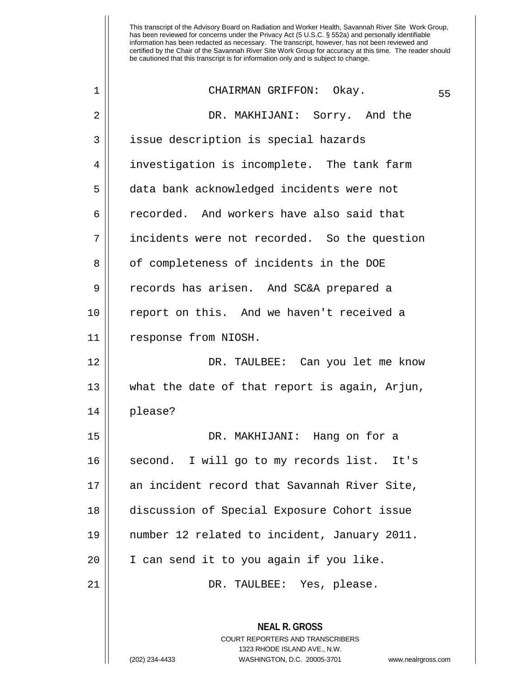| $\mathbf 1$    | CHAIRMAN GRIFFON: Okay.                                                                                                                                                | 55 |
|----------------|------------------------------------------------------------------------------------------------------------------------------------------------------------------------|----|
| 2              | DR. MAKHIJANI: Sorry. And the                                                                                                                                          |    |
| $\mathbf{3}$   | issue description is special hazards                                                                                                                                   |    |
| $\overline{4}$ | investigation is incomplete. The tank farm                                                                                                                             |    |
| 5              | data bank acknowledged incidents were not                                                                                                                              |    |
| $\sigma$       | recorded. And workers have also said that                                                                                                                              |    |
| 7              | incidents were not recorded. So the question                                                                                                                           |    |
| 8              | of completeness of incidents in the DOE                                                                                                                                |    |
| 9              | records has arisen. And SC&A prepared a                                                                                                                                |    |
| 10             | report on this. And we haven't received a                                                                                                                              |    |
| 11             | response from NIOSH.                                                                                                                                                   |    |
| 12             | DR. TAULBEE: Can you let me know                                                                                                                                       |    |
| 13             | what the date of that report is again, Arjun,                                                                                                                          |    |
| 14             | please?                                                                                                                                                                |    |
| 15             | DR. MAKHIJANI: Hang on for a                                                                                                                                           |    |
| 16             | second. I will go to my records list. It's                                                                                                                             |    |
| 17             | an incident record that Savannah River Site,                                                                                                                           |    |
| 18             | discussion of Special Exposure Cohort issue                                                                                                                            |    |
| 19             | number 12 related to incident, January 2011.                                                                                                                           |    |
| 20             | I can send it to you again if you like.                                                                                                                                |    |
| 21             | DR. TAULBEE: Yes, please.                                                                                                                                              |    |
|                | <b>NEAL R. GROSS</b><br><b>COURT REPORTERS AND TRANSCRIBERS</b><br>1323 RHODE ISLAND AVE., N.W.<br>(202) 234-4433<br>WASHINGTON, D.C. 20005-3701<br>www.nealrgross.com |    |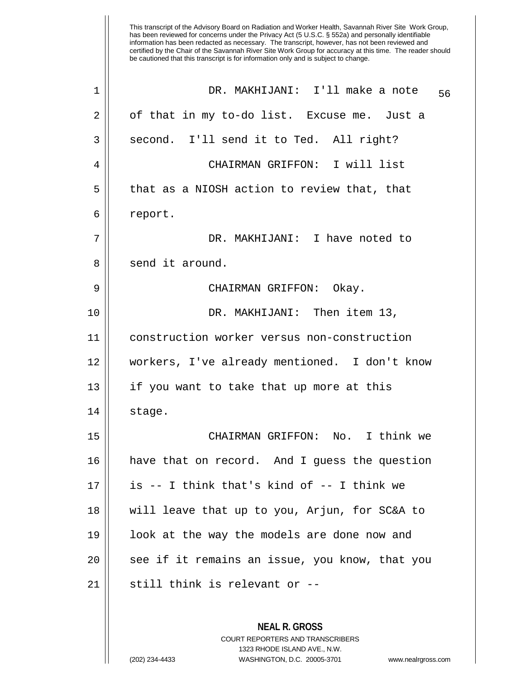| $\mathbf 1$ | DR. MAKHIJANI: I'll make a note<br>56                                                                                                                                  |
|-------------|------------------------------------------------------------------------------------------------------------------------------------------------------------------------|
| 2           | of that in my to-do list. Excuse me. Just a                                                                                                                            |
| 3           | second. I'll send it to Ted. All right?                                                                                                                                |
| 4           | CHAIRMAN GRIFFON: I will list                                                                                                                                          |
| 5           | that as a NIOSH action to review that, that                                                                                                                            |
| 6           | report.                                                                                                                                                                |
| 7           | DR. MAKHIJANI: I have noted to                                                                                                                                         |
| 8           | send it around.                                                                                                                                                        |
| 9           | CHAIRMAN GRIFFON: Okay.                                                                                                                                                |
| 10          | DR. MAKHIJANI: Then item 13,                                                                                                                                           |
| 11          | construction worker versus non-construction                                                                                                                            |
| 12          | workers, I've already mentioned. I don't know                                                                                                                          |
| 13          | if you want to take that up more at this                                                                                                                               |
| 14          | stage.                                                                                                                                                                 |
| 15          | CHAIRMAN GRIFFON: No. I think we                                                                                                                                       |
| 16          | have that on record. And I guess the question                                                                                                                          |
| 17          | is -- I think that's kind of -- I think we                                                                                                                             |
| 18          | will leave that up to you, Arjun, for SC&A to                                                                                                                          |
| 19          | look at the way the models are done now and                                                                                                                            |
| 20          | see if it remains an issue, you know, that you                                                                                                                         |
| 21          | still think is relevant or --                                                                                                                                          |
|             | <b>NEAL R. GROSS</b><br><b>COURT REPORTERS AND TRANSCRIBERS</b><br>1323 RHODE ISLAND AVE., N.W.<br>(202) 234-4433<br>WASHINGTON, D.C. 20005-3701<br>www.nealrgross.com |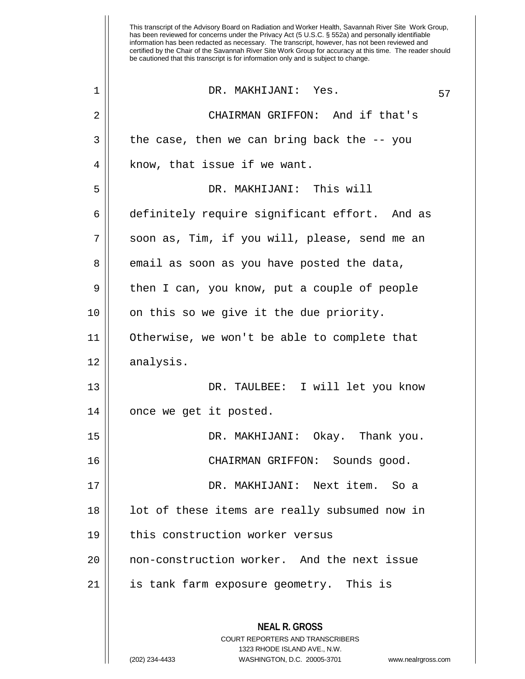This transcript of the Advisory Board on Radiation and Worker Health, Savannah River Site Work Group, has been reviewed for concerns under the Privacy Act (5 U.S.C. § 552a) and personally identifiable information has been redacted as necessary. The transcript, however, has not been reviewed and certified by the Chair of the Savannah River Site Work Group for accuracy at this time. The reader should be cautioned that this transcript is for information only and is subject to change. 1 || DR. MAKHIJANI: Yes. 57 2 CHAIRMAN GRIFFON: And if that's  $3 \parallel$  the case, then we can bring back the  $-$ - you  $4 \parallel$  know, that issue if we want. 5 DR. MAKHIJANI: This will 6 definitely require significant effort. And as 7 || soon as, Tim, if you will, please, send me an  $8 \parallel$  email as soon as you have posted the data, 9 then I can, you know, put a couple of people 10 || on this so we give it the due priority. 11 Otherwise, we won't be able to complete that 12 | analysis. 13 DR. TAULBEE: I will let you know 14 | once we get it posted. 15 DR. MAKHIJANI: Okay. Thank you. 16 CHAIRMAN GRIFFON: Sounds good. 17 DR. MAKHIJANI: Next item. So a 18 || lot of these items are really subsumed now in 19 this construction worker versus 20 non-construction worker. And the next issue 21 | is tank farm exposure geometry. This is

> **NEAL R. GROSS** COURT REPORTERS AND TRANSCRIBERS 1323 RHODE ISLAND AVE., N.W.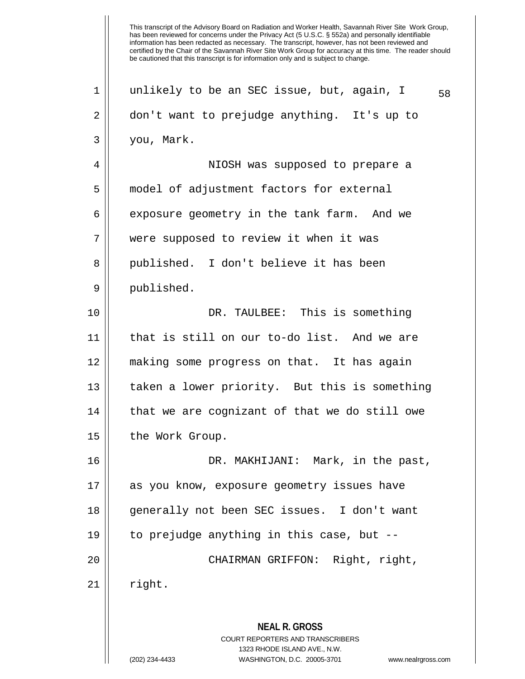**NEAL R. GROSS** COURT REPORTERS AND TRANSCRIBERS 1323 RHODE ISLAND AVE., N.W. (202) 234-4433 WASHINGTON, D.C. 20005-3701 www.nealrgross.com 1 || unlikely to be an SEC issue, but, again, I  $_{58}$ 2 don't want to prejudge anything. It's up to 3 you, Mark. 4 NIOSH was supposed to prepare a 5 model of adjustment factors for external 6  $\parallel$  exposure geometry in the tank farm. And we 7 were supposed to review it when it was 8 || published. I don't believe it has been 9 | published. 10 DR. TAULBEE: This is something 11 that is still on our to-do list. And we are 12 making some progress on that. It has again 13 || taken a lower priority. But this is something  $14$  | that we are cognizant of that we do still owe 15 || the Work Group. 16 DR. MAKHIJANI: Mark, in the past, 17 as you know, exposure geometry issues have 18 generally not been SEC issues. I don't want 19  $\parallel$  to prejudge anything in this case, but --20 CHAIRMAN GRIFFON: Right, right,  $21$  right.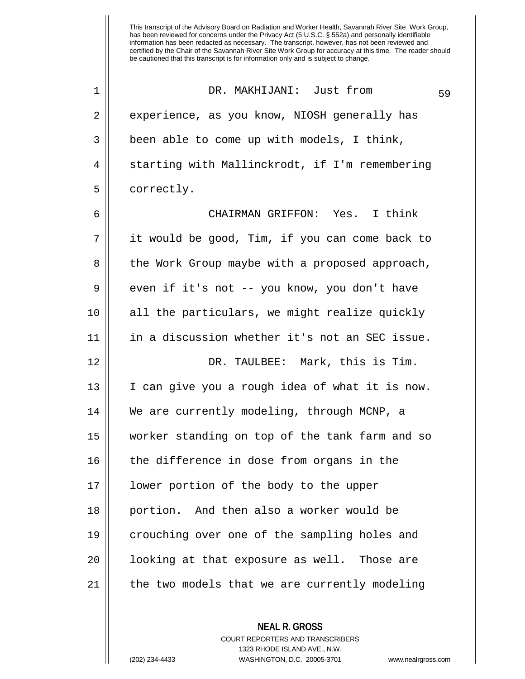DR. MAKHIJANI: Just from 59 1 2 || experience, as you know, NIOSH generally has  $3 \parallel$  been able to come up with models, I think,  $4 \parallel$  starting with Mallinckrodt, if I'm remembering 5 | correctly. 6 CHAIRMAN GRIFFON: Yes. I think 7 it would be good, Tim, if you can come back to 8 || the Work Group maybe with a proposed approach,  $9 \parallel$  even if it's not -- you know, you don't have 10 all the particulars, we might realize quickly 11 in a discussion whether it's not an SEC issue. 12 DR. TAULBEE: Mark, this is Tim. 13 I can give you a rough idea of what it is now. 14 We are currently modeling, through MCNP, a 15 worker standing on top of the tank farm and so 16 || the difference in dose from organs in the 17 lower portion of the body to the upper 18 portion. And then also a worker would be 19 crouching over one of the sampling holes and 20 || looking at that exposure as well. Those are 21 | the two models that we are currently modeling

> **NEAL R. GROSS** COURT REPORTERS AND TRANSCRIBERS 1323 RHODE ISLAND AVE., N.W. (202) 234-4433 WASHINGTON, D.C. 20005-3701 www.nealrgross.com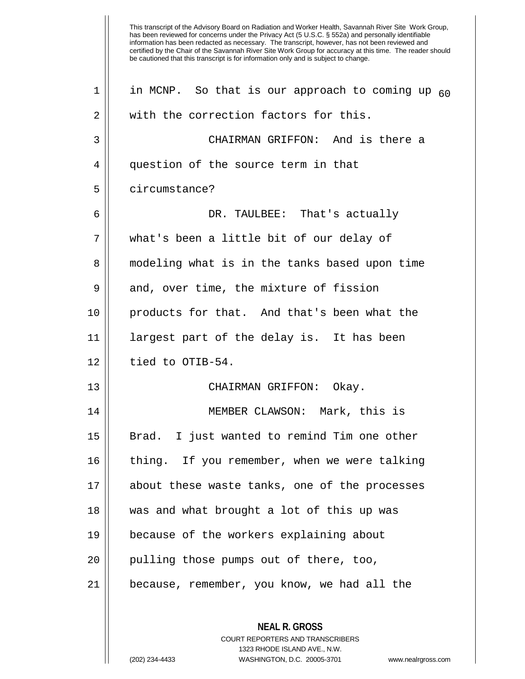**NEAL R. GROSS** COURT REPORTERS AND TRANSCRIBERS 1 || in MCNP. So that is our approach to coming up  $_{60}$ 2 We with the correction factors for this. 3 CHAIRMAN GRIFFON: And is there a 4 | question of the source term in that 5 l circumstance? 6 DR. TAULBEE: That's actually 7 what's been a little bit of our delay of 8 || modeling what is in the tanks based upon time  $9 \parallel$  and, over time, the mixture of fission 10 products for that. And that's been what the 11 largest part of the delay is. It has been  $12 \parallel$  tied to OTIB-54. 13 CHAIRMAN GRIFFON: Okay. 14 MEMBER CLAWSON: Mark, this is 15 Brad. I just wanted to remind Tim one other 16 || thing. If you remember, when we were talking 17 about these waste tanks, one of the processes 18 was and what brought a lot of this up was 19 because of the workers explaining about  $20$  || pulling those pumps out of there, too, 21 because, remember, you know, we had all the

1323 RHODE ISLAND AVE., N.W.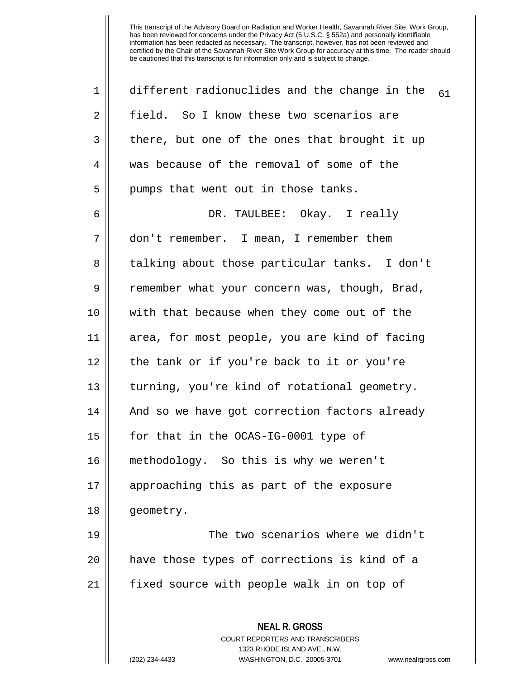| 1  | different radionuclides and the change in the<br>61                                                                                                                    |
|----|------------------------------------------------------------------------------------------------------------------------------------------------------------------------|
| 2  | field. So I know these two scenarios are                                                                                                                               |
| 3  | there, but one of the ones that brought it up                                                                                                                          |
| 4  | was because of the removal of some of the                                                                                                                              |
| 5  | pumps that went out in those tanks.                                                                                                                                    |
| 6  | DR. TAULBEE: Okay. I really                                                                                                                                            |
| 7  | don't remember. I mean, I remember them                                                                                                                                |
| 8  | talking about those particular tanks. I don't                                                                                                                          |
| 9  | remember what your concern was, though, Brad,                                                                                                                          |
| 10 | with that because when they come out of the                                                                                                                            |
| 11 | area, for most people, you are kind of facing                                                                                                                          |
| 12 | the tank or if you're back to it or you're                                                                                                                             |
| 13 | turning, you're kind of rotational geometry.                                                                                                                           |
| 14 | And so we have got correction factors already                                                                                                                          |
| 15 | for that in the OCAS-IG-0001 type of                                                                                                                                   |
| 16 | methodology. So this is why we weren't                                                                                                                                 |
| 17 | approaching this as part of the exposure                                                                                                                               |
| 18 | geometry.                                                                                                                                                              |
| 19 | The two scenarios where we didn't                                                                                                                                      |
| 20 | have those types of corrections is kind of a                                                                                                                           |
| 21 | fixed source with people walk in on top of                                                                                                                             |
|    | <b>NEAL R. GROSS</b><br><b>COURT REPORTERS AND TRANSCRIBERS</b><br>1323 RHODE ISLAND AVE., N.W.<br>(202) 234-4433<br>WASHINGTON, D.C. 20005-3701<br>www.nealrgross.com |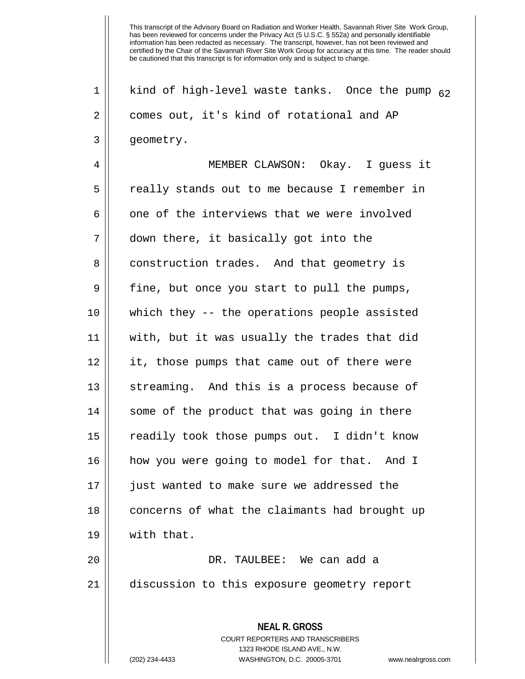**NEAL R. GROSS** COURT REPORTERS AND TRANSCRIBERS 1323 RHODE ISLAND AVE., N.W. 1 || kind of high-level waste tanks. Once the pump  $_{62}$ 2 | comes out, it's kind of rotational and AP 3 | geometry. 4 MEMBER CLAWSON: Okay. I guess it 5 really stands out to me because I remember in  $6$  || one of the interviews that we were involved 7 down there, it basically got into the 8 | construction trades. And that geometry is  $9 \parallel$  fine, but once you start to pull the pumps, 10 which they -- the operations people assisted 11 with, but it was usually the trades that did 12 it, those pumps that came out of there were 13 || streaming. And this is a process because of 14 || some of the product that was going in there 15 readily took those pumps out. I didn't know 16 how you were going to model for that. And I 17 just wanted to make sure we addressed the 18 || concerns of what the claimants had brought up 19 with that. 20 DR. TAULBEE: We can add a 21 discussion to this exposure geometry report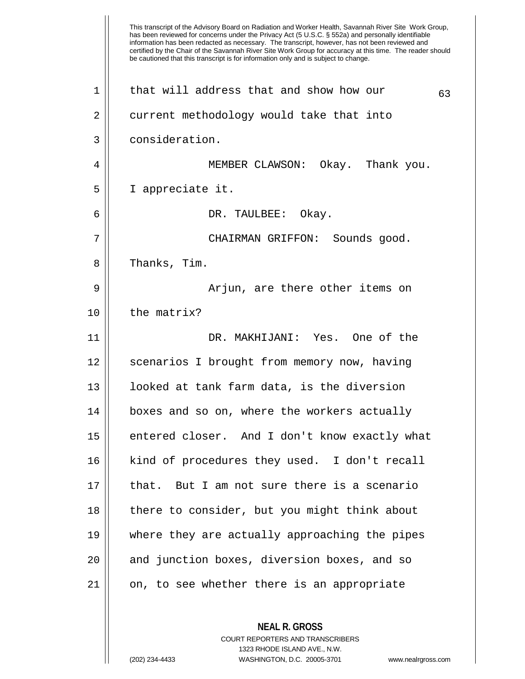This transcript of the Advisory Board on Radiation and Worker Health, Savannah River Site Work Group, has been reviewed for concerns under the Privacy Act (5 U.S.C. § 552a) and personally identifiable information has been redacted as necessary. The transcript, however, has not been reviewed and certified by the Chair of the Savannah River Site Work Group for accuracy at this time. The reader should be cautioned that this transcript is for information only and is subject to change. **NEAL R. GROSS** COURT REPORTERS AND TRANSCRIBERS 1323 RHODE ISLAND AVE., N.W. 1 || that will address that and show how our  $63$ 2 | current methodology would take that into 3 consideration. 4 MEMBER CLAWSON: Okay. Thank you. 5 I appreciate it. 6 DR. TAULBEE: Okay. 7 CHAIRMAN GRIFFON: Sounds good. 8 || Thanks, Tim. 9 Arjun, are there other items on  $10$  | the matrix? 11 DR. MAKHIJANI: Yes. One of the 12 || scenarios I brought from memory now, having 13 looked at tank farm data, is the diversion 14 || boxes and so on, where the workers actually 15 entered closer. And I don't know exactly what 16 || kind of procedures they used. I don't recall 17 that. But I am not sure there is a scenario 18 || there to consider, but you might think about 19 where they are actually approaching the pipes 20 || and junction boxes, diversion boxes, and so 21 || on, to see whether there is an appropriate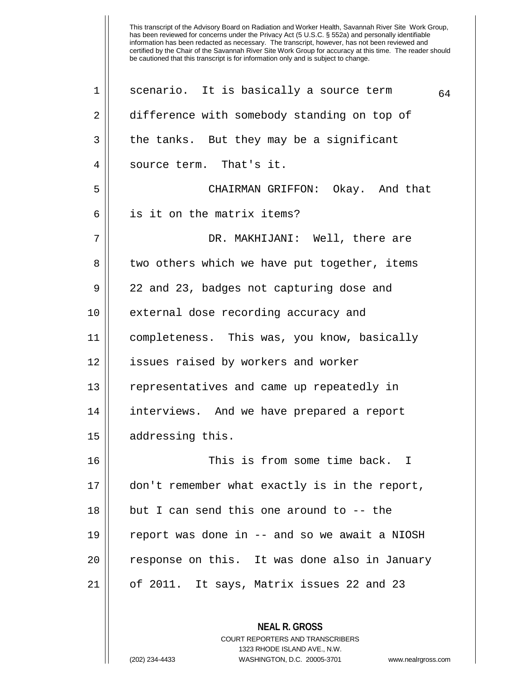2 || difference with somebody standing on top of  $3 \parallel$  the tanks. But they may be a significant 4 || source term. That's it. 5 CHAIRMAN GRIFFON: Okay. And that 6 || is it on the matrix items? 7 DR. MAKHIJANI: Well, there are 8 || two others which we have put together, items 9 22 and 23, badges not capturing dose and 10 || external dose recording accuracy and 11 completeness. This was, you know, basically 12 || issues raised by workers and worker 13 | representatives and came up repeatedly in 14 interviews. And we have prepared a report 15 || addressing this. 16 This is from some time back. I 17 don't remember what exactly is in the report, 18 || but I can send this one around to -- the 19 report was done in -- and so we await a NIOSH 20 || response on this. It was done also in January 21 of 2011. It says, Matrix issues 22 and 23

> **NEAL R. GROSS** COURT REPORTERS AND TRANSCRIBERS 1323 RHODE ISLAND AVE., N.W. (202) 234-4433 WASHINGTON, D.C. 20005-3701 www.nealrgross.com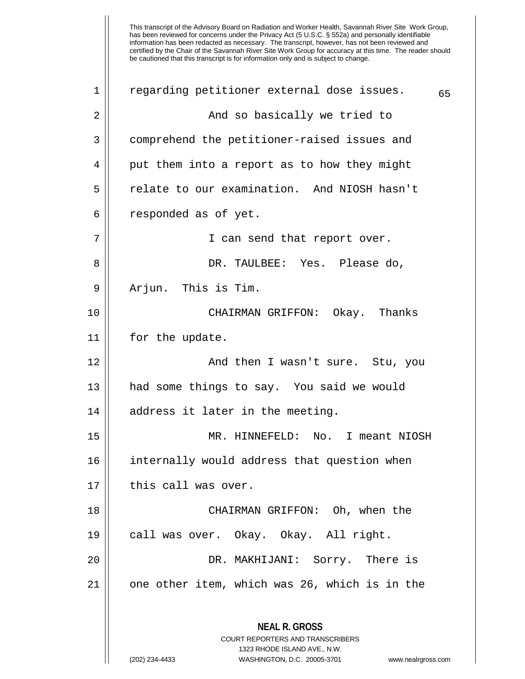| $\mathbf 1$ | regarding petitioner external dose issues.                                                      | 65 |
|-------------|-------------------------------------------------------------------------------------------------|----|
| 2           | And so basically we tried to                                                                    |    |
| 3           | comprehend the petitioner-raised issues and                                                     |    |
| 4           | put them into a report as to how they might                                                     |    |
| 5           | relate to our examination. And NIOSH hasn't                                                     |    |
| 6           | responded as of yet.                                                                            |    |
| 7           | I can send that report over.                                                                    |    |
| 8           | DR. TAULBEE: Yes. Please do,                                                                    |    |
| 9           | Arjun. This is Tim.                                                                             |    |
| 10          | CHAIRMAN GRIFFON: Okay. Thanks                                                                  |    |
| 11          | for the update.                                                                                 |    |
| 12          | And then I wasn't sure. Stu, you                                                                |    |
| 13          | had some things to say. You said we would                                                       |    |
| 14          | address it later in the meeting.                                                                |    |
| 15          | MR. HINNEFELD: No. I meant NIOSH                                                                |    |
| 16          | internally would address that question when                                                     |    |
| 17          | this call was over.                                                                             |    |
| 18          | CHAIRMAN GRIFFON: Oh, when the                                                                  |    |
| 19          | call was over. Okay. Okay. All right.                                                           |    |
| 20          | DR. MAKHIJANI: Sorry. There is                                                                  |    |
| 21          | one other item, which was 26, which is in the                                                   |    |
|             | <b>NEAL R. GROSS</b><br><b>COURT REPORTERS AND TRANSCRIBERS</b><br>1323 RHODE ISLAND AVE., N.W. |    |
|             | (202) 234-4433<br>WASHINGTON, D.C. 20005-3701<br>www.nealrgross.com                             |    |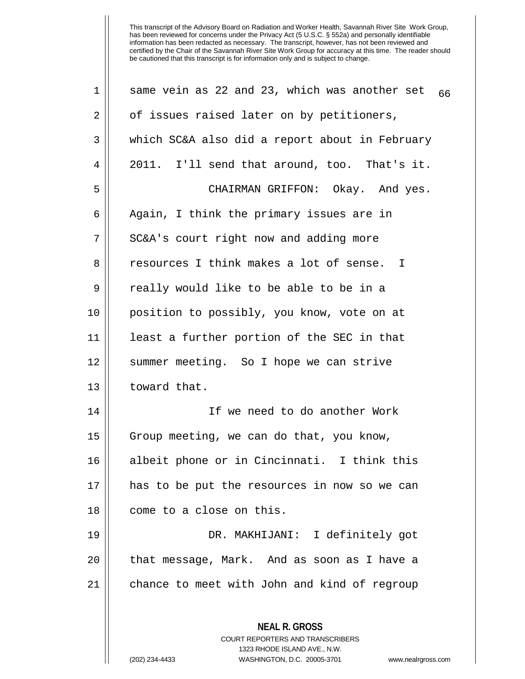| $\mathbf 1$ | same vein as 22 and 23, which was another set<br>66                                                                                                                    |
|-------------|------------------------------------------------------------------------------------------------------------------------------------------------------------------------|
| 2           | of issues raised later on by petitioners,                                                                                                                              |
| 3           | which SC&A also did a report about in February                                                                                                                         |
| 4           | 2011. I'll send that around, too. That's it.                                                                                                                           |
| 5           | CHAIRMAN GRIFFON: Okay. And yes.                                                                                                                                       |
| 6           | Again, I think the primary issues are in                                                                                                                               |
| 7           | SC&A's court right now and adding more                                                                                                                                 |
| 8           | resources I think makes a lot of sense. I                                                                                                                              |
| 9           | really would like to be able to be in a                                                                                                                                |
| 10          | position to possibly, you know, vote on at                                                                                                                             |
| 11          | least a further portion of the SEC in that                                                                                                                             |
| 12          | summer meeting. So I hope we can strive                                                                                                                                |
| 13          | toward that.                                                                                                                                                           |
| 14          | If we need to do another Work                                                                                                                                          |
| 15          | Group meeting, we can do that, you know,                                                                                                                               |
| 16          | albeit phone or in Cincinnati. I think this                                                                                                                            |
| 17          | has to be put the resources in now so we can                                                                                                                           |
| 18          | come to a close on this.                                                                                                                                               |
| 19          | DR. MAKHIJANI: I definitely got                                                                                                                                        |
| 20          | that message, Mark. And as soon as I have a                                                                                                                            |
| 21          | chance to meet with John and kind of regroup                                                                                                                           |
|             | <b>NEAL R. GROSS</b><br><b>COURT REPORTERS AND TRANSCRIBERS</b><br>1323 RHODE ISLAND AVE., N.W.<br>(202) 234-4433<br>WASHINGTON, D.C. 20005-3701<br>www.nealrgross.com |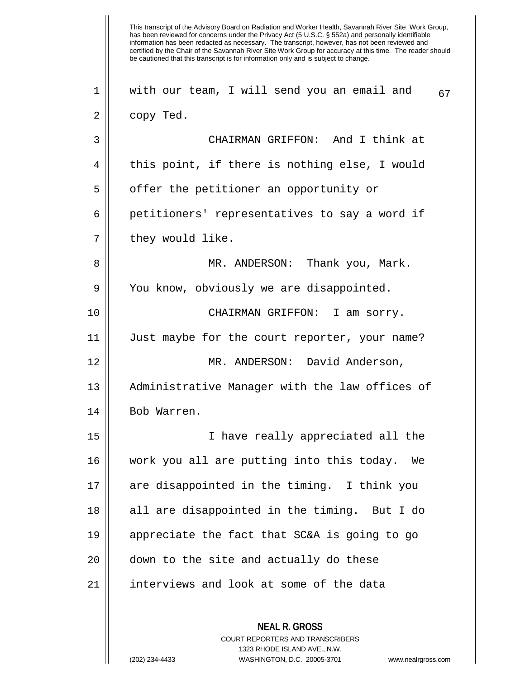This transcript of the Advisory Board on Radiation and Worker Health, Savannah River Site Work Group, has been reviewed for concerns under the Privacy Act (5 U.S.C. § 552a) and personally identifiable information has been redacted as necessary. The transcript, however, has not been reviewed and certified by the Chair of the Savannah River Site Work Group for accuracy at this time. The reader should be cautioned that this transcript is for information only and is subject to change. **NEAL R. GROSS** COURT REPORTERS AND TRANSCRIBERS 1323 RHODE ISLAND AVE., N.W. 1 || with our team, I will send you an email and  $67$  $2 \parallel$  copy Ted. 3 CHAIRMAN GRIFFON: And I think at  $4 \parallel$  this point, if there is nothing else, I would 5 | offer the petitioner an opportunity or 6 petitioners' representatives to say a word if 7 || they would like. 8 MR. ANDERSON: Thank you, Mark. 9 | You know, obviously we are disappointed. 10 CHAIRMAN GRIFFON: I am sorry. 11 Just maybe for the court reporter, your name? 12 MR. ANDERSON: David Anderson, 13 Administrative Manager with the law offices of 14 Bob Warren. 15 I have really appreciated all the 16 work you all are putting into this today. We 17 are disappointed in the timing. I think you 18 || all are disappointed in the timing. But I do 19 appreciate the fact that SC&A is going to go 20 || down to the site and actually do these 21 | interviews and look at some of the data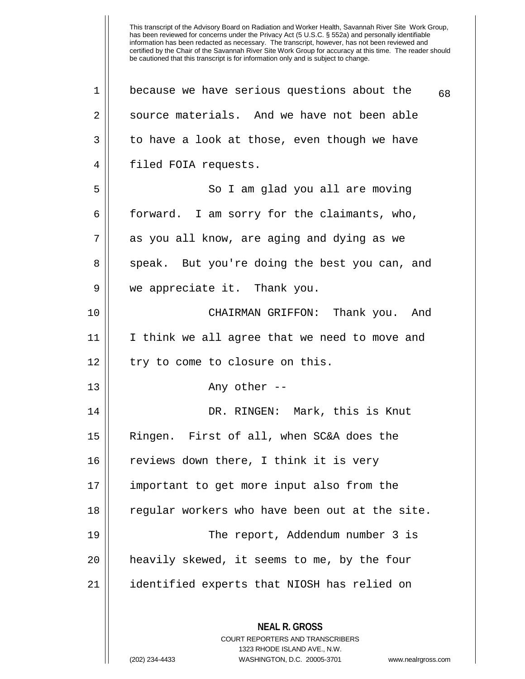**NEAL R. GROSS** COURT REPORTERS AND TRANSCRIBERS 1323 RHODE ISLAND AVE., N.W. (202) 234-4433 WASHINGTON, D.C. 20005-3701 www.nealrgross.com 1 | because we have serious questions about the  $68$ 2 || source materials. And we have not been able  $3 \parallel$  to have a look at those, even though we have 4 || filed FOIA requests. 5 || So I am glad you all are moving  $6 \parallel$  forward. I am sorry for the claimants, who, 7 as you all know, are aging and dying as we 8 speak. But you're doing the best you can, and 9 we appreciate it. Thank you. 10 CHAIRMAN GRIFFON: Thank you. And 11 I think we all agree that we need to move and  $12 \parallel$  try to come to closure on this. 13 Any other -- 14 DR. RINGEN: Mark, this is Knut 15 Ringen. First of all, when SC&A does the 16 || reviews down there, I think it is very 17 important to get more input also from the 18 || regular workers who have been out at the site. 19 The report, Addendum number 3 is 20 heavily skewed, it seems to me, by the four 21 identified experts that NIOSH has relied on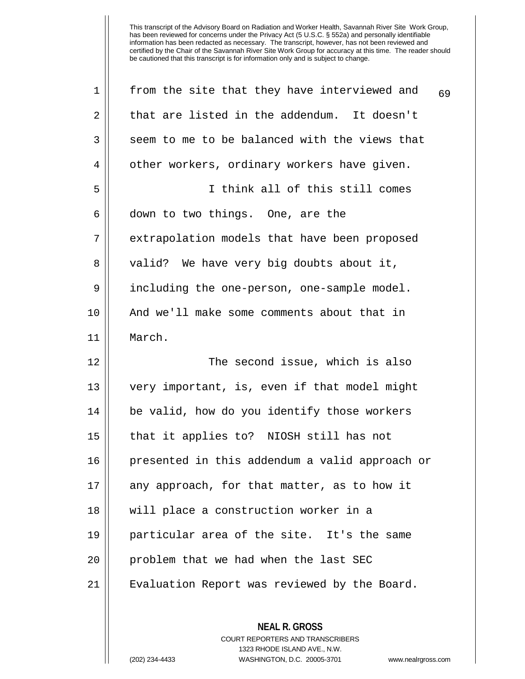| 1              | from the site that they have interviewed and<br>69 |
|----------------|----------------------------------------------------|
| $\overline{2}$ | that are listed in the addendum. It doesn't        |
| 3              | seem to me to be balanced with the views that      |
| 4              | other workers, ordinary workers have given.        |
| 5              | I think all of this still comes                    |
| 6              | down to two things. One, are the                   |
| 7              | extrapolation models that have been proposed       |
| 8              | valid? We have very big doubts about it,           |
| 9              | including the one-person, one-sample model.        |
| 10             | And we'll make some comments about that in         |
| 11             | March.                                             |
| 12             | The second issue, which is also                    |
| 13             | very important, is, even if that model might       |
| 14             | be valid, how do you identify those workers        |
| 15             | that it applies to? NIOSH still has not            |
| 16             | presented in this addendum a valid approach or     |
| 17             | any approach, for that matter, as to how it        |
| 18             | will place a construction worker in a              |
| 19             | particular area of the site. It's the same         |
| 20             | problem that we had when the last SEC              |
| 21             | Evaluation Report was reviewed by the Board.       |
|                |                                                    |

**NEAL R. GROSS** COURT REPORTERS AND TRANSCRIBERS 1323 RHODE ISLAND AVE., N.W. (202) 234-4433 WASHINGTON, D.C. 20005-3701 www.nealrgross.com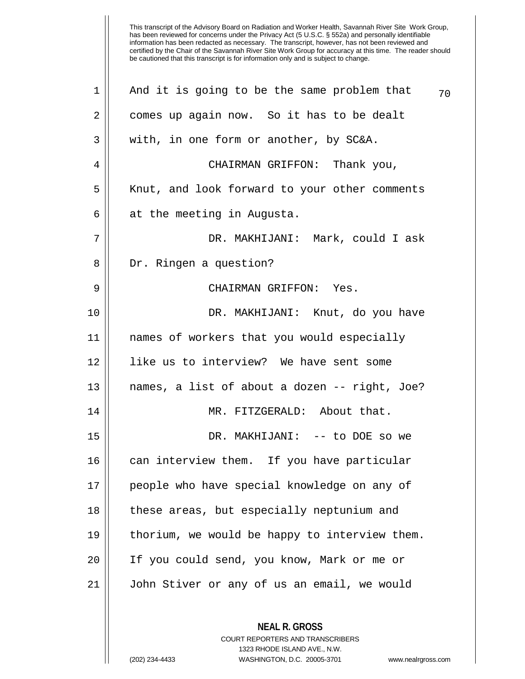| $\mathbf 1$    | And it is going to be the same problem that   | 70 |
|----------------|-----------------------------------------------|----|
| $\overline{2}$ | comes up again now. So it has to be dealt     |    |
| 3              | with, in one form or another, by SC&A.        |    |
| 4              | CHAIRMAN GRIFFON: Thank you,                  |    |
| 5              | Knut, and look forward to your other comments |    |
| 6              | at the meeting in Augusta.                    |    |
| 7              | DR. MAKHIJANI: Mark, could I ask              |    |
| 8              | Dr. Ringen a question?                        |    |
| 9              | CHAIRMAN GRIFFON: Yes.                        |    |
| 10             | DR. MAKHIJANI: Knut, do you have              |    |
| 11             | names of workers that you would especially    |    |
| 12             | like us to interview? We have sent some       |    |
| 13             | names, a list of about a dozen -- right, Joe? |    |
| 14             | MR. FITZGERALD: About that.                   |    |
| 15             | DR. MAKHIJANI: -- to DOE so we                |    |
| 16             | can interview them. If you have particular    |    |
| 17             | people who have special knowledge on any of   |    |
| 18             | these areas, but especially neptunium and     |    |
| 19             | thorium, we would be happy to interview them. |    |
| 20             | If you could send, you know, Mark or me or    |    |
| 21             | John Stiver or any of us an email, we would   |    |
|                |                                               |    |
|                | <b>NEAL R. GROSS</b>                          |    |

1323 RHODE ISLAND AVE., N.W. (202) 234-4433 WASHINGTON, D.C. 20005-3701 www.nealrgross.com

COURT REPORTERS AND TRANSCRIBERS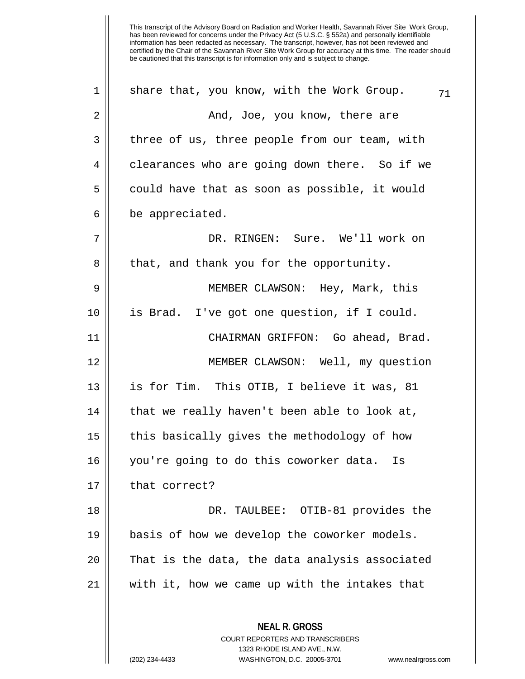| 1  | share that, you know, with the Work Group.<br>71                                                |
|----|-------------------------------------------------------------------------------------------------|
| 2  | And, Joe, you know, there are                                                                   |
| 3  | three of us, three people from our team, with                                                   |
| 4  | clearances who are going down there. So if we                                                   |
| 5  | could have that as soon as possible, it would                                                   |
| 6  | be appreciated.                                                                                 |
| 7  | DR. RINGEN: Sure. We'll work on                                                                 |
| 8  | that, and thank you for the opportunity.                                                        |
| 9  | MEMBER CLAWSON: Hey, Mark, this                                                                 |
| 10 | is Brad. I've got one question, if I could.                                                     |
| 11 | CHAIRMAN GRIFFON: Go ahead, Brad.                                                               |
| 12 | MEMBER CLAWSON: Well, my question                                                               |
| 13 | is for Tim. This OTIB, I believe it was, 81                                                     |
| 14 | that we really haven't been able to look at,                                                    |
| 15 | this basically gives the methodology of how                                                     |
| 16 | you're going to do this coworker data. Is                                                       |
| 17 | that correct?                                                                                   |
| 18 | DR. TAULBEE: OTIB-81 provides the                                                               |
| 19 | basis of how we develop the coworker models.                                                    |
| 20 | That is the data, the data analysis associated                                                  |
| 21 | with it, how we came up with the intakes that                                                   |
|    | <b>NEAL R. GROSS</b><br><b>COURT REPORTERS AND TRANSCRIBERS</b><br>1323 RHODE ISLAND AVE., N.W. |
|    | WASHINGTON, D.C. 20005-3701<br>(202) 234-4433<br>www.nealrgross.com                             |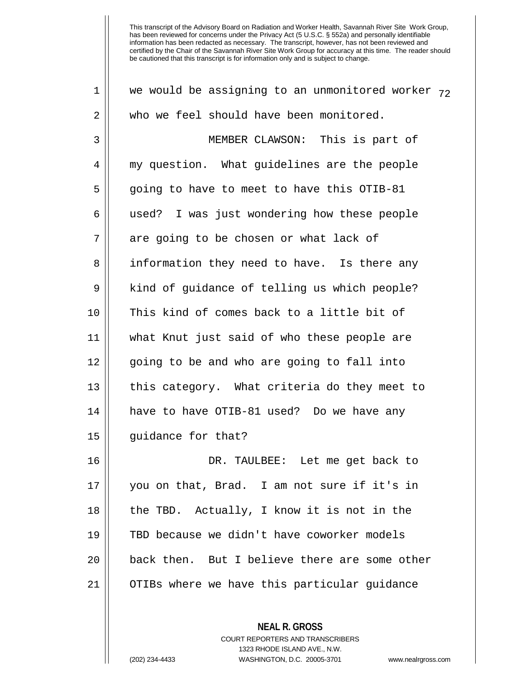| $\mathbf 1$    | we would be assigning to an unmonitored worker $72$ |
|----------------|-----------------------------------------------------|
| $\overline{2}$ | who we feel should have been monitored.             |
| 3              | MEMBER CLAWSON: This is part of                     |
| 4              | my question. What guidelines are the people         |
| 5              | going to have to meet to have this OTIB-81          |
| 6              | used? I was just wondering how these people         |
| 7              | are going to be chosen or what lack of              |
| 8              | information they need to have. Is there any         |
| 9              | kind of guidance of telling us which people?        |
| 10             | This kind of comes back to a little bit of          |
| 11             | what Knut just said of who these people are         |
| 12             | going to be and who are going to fall into          |
| 13             | this category. What criteria do they meet to        |
| 14             | have to have OTIB-81 used? Do we have any           |
| 15             | guidance for that?                                  |
| 16             | DR. TAULBEE: Let me get back to                     |
| 17             | you on that, Brad. I am not sure if it's in         |
| 18             | the TBD. Actually, I know it is not in the          |
| 19             | TBD because we didn't have coworker models          |
| 20             | back then. But I believe there are some other       |
| 21             | OTIBs where we have this particular guidance        |
|                |                                                     |

COURT REPORTERS AND TRANSCRIBERS 1323 RHODE ISLAND AVE., N.W. (202) 234-4433 WASHINGTON, D.C. 20005-3701 www.nealrgross.com

**NEAL R. GROSS**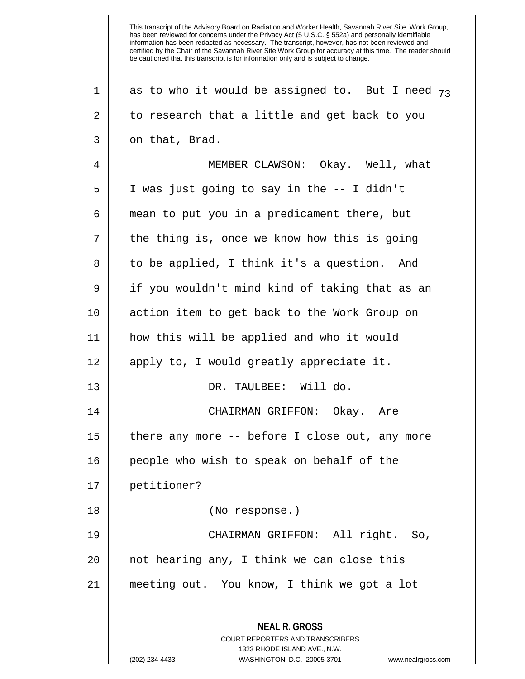This transcript of the Advisory Board on Radiation and Worker Health, Savannah River Site Work Group, has been reviewed for concerns under the Privacy Act (5 U.S.C. § 552a) and personally identifiable information has been redacted as necessary. The transcript, however, has not been reviewed and certified by the Chair of the Savannah River Site Work Group for accuracy at this time. The reader should be cautioned that this transcript is for information only and is subject to change. **NEAL R. GROSS** COURT REPORTERS AND TRANSCRIBERS 1323 RHODE ISLAND AVE., N.W. 1 || as to who it would be assigned to. But I need  $73$  $2 \parallel$  to research that a little and get back to you  $3 \parallel$  on that, Brad. 4 MEMBER CLAWSON: Okay. Well, what 5 I was just going to say in the -- I didn't 6 mean to put you in a predicament there, but  $7 \parallel$  the thing is, once we know how this is going 8 || to be applied, I think it's a question. And 9 | if you wouldn't mind kind of taking that as an 10 action item to get back to the Work Group on 11 how this will be applied and who it would 12 || apply to, I would greatly appreciate it. 13 || DR. TAULBEE: Will do. 14 CHAIRMAN GRIFFON: Okay. Are 15 || there any more -- before I close out, any more 16 || people who wish to speak on behalf of the 17 petitioner? 18 (No response.) 19 CHAIRMAN GRIFFON: All right. So,  $20$  || not hearing any, I think we can close this 21 meeting out. You know, I think we got a lot

(202) 234-4433 WASHINGTON, D.C. 20005-3701 www.nealrgross.com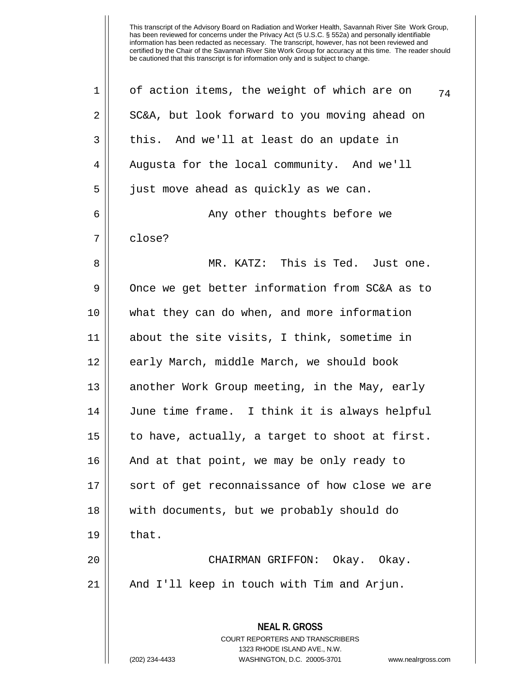This transcript of the Advisory Board on Radiation and Worker Health, Savannah River Site Work Group, has been reviewed for concerns under the Privacy Act (5 U.S.C. § 552a) and personally identifiable information has been redacted as necessary. The transcript, however, has not been reviewed and certified by the Chair of the Savannah River Site Work Group for accuracy at this time. The reader should be cautioned that this transcript is for information only and is subject to change.

| $\mathbf 1$    | of action items, the weight of which are on<br>74                                        |
|----------------|------------------------------------------------------------------------------------------|
| $\overline{2}$ | SC&A, but look forward to you moving ahead on                                            |
| 3              | this. And we'll at least do an update in                                                 |
| $\overline{4}$ | Augusta for the local community. And we'll                                               |
| 5              | just move ahead as quickly as we can.                                                    |
| 6              | Any other thoughts before we                                                             |
| 7              | close?                                                                                   |
| 8              | MR. KATZ: This is Ted. Just one.                                                         |
| 9              | Once we get better information from SC&A as to                                           |
| 10             | what they can do when, and more information                                              |
| 11             | about the site visits, I think, sometime in                                              |
| 12             | early March, middle March, we should book                                                |
| 13             | another Work Group meeting, in the May, early                                            |
| 14             | June time frame. I think it is always helpful                                            |
| 15             | to have, actually, a target to shoot at first.                                           |
| 16             | And at that point, we may be only ready to                                               |
| 17             | sort of get reconnaissance of how close we are                                           |
| 18             | with documents, but we probably should do                                                |
| 19             | that.                                                                                    |
| 20             | CHAIRMAN GRIFFON: Okay. Okay.                                                            |
| 21             | And I'll keep in touch with Tim and Arjun.                                               |
|                | <b>NEAL R. GROSS</b><br>COURT REPORTERS AND TRANSCRIBERS<br>1323 RHODE ISLAND AVE., N.W. |
|                | (202) 234-4433<br>WASHINGTON, D.C. 20005-3701<br>www.nealrgross.com                      |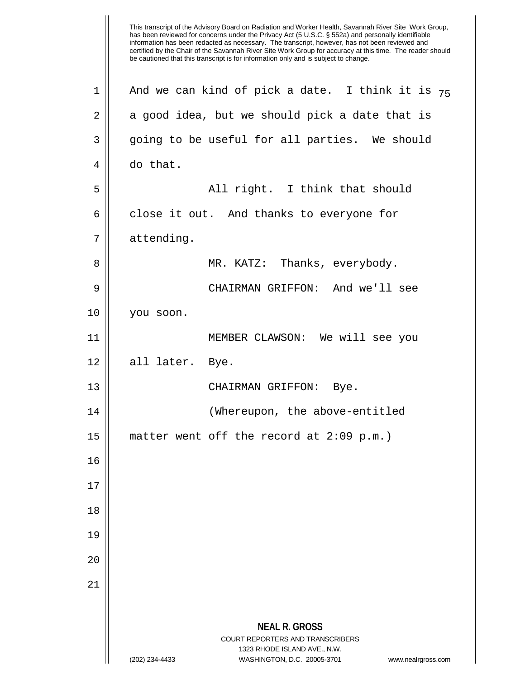This transcript of the Advisory Board on Radiation and Worker Health, Savannah River Site Work Group, has been reviewed for concerns under the Privacy Act (5 U.S.C. § 552a) and personally identifiable information has been redacted as necessary. The transcript, however, has not been reviewed and certified by the Chair of the Savannah River Site Work Group for accuracy at this time. The reader should be cautioned that this transcript is for information only and is subject to change. **NEAL R. GROSS** COURT REPORTERS AND TRANSCRIBERS 1323 RHODE ISLAND AVE., N.W. (202) 234-4433 WASHINGTON, D.C. 20005-3701 www.nealrgross.com 1 || And we can kind of pick a date. I think it is  $_{75}$  $2 \parallel$  a good idea, but we should pick a date that is 3 || going to be useful for all parties. We should 4 | do that. 5 All right. I think that should  $6 \parallel$  close it out. And thanks to everyone for 7 | attending. 8 MR. KATZ: Thanks, everybody. 9 CHAIRMAN GRIFFON: And we'll see 10 you soon. 11 MEMBER CLAWSON: We will see you  $12 \parallel$  all later. Bye. 13 || CHAIRMAN GRIFFON: Bye. 14 (Whereupon, the above-entitled 15  $\vert$  matter went off the record at 2:09 p.m.) 16 17 18 19 20 21